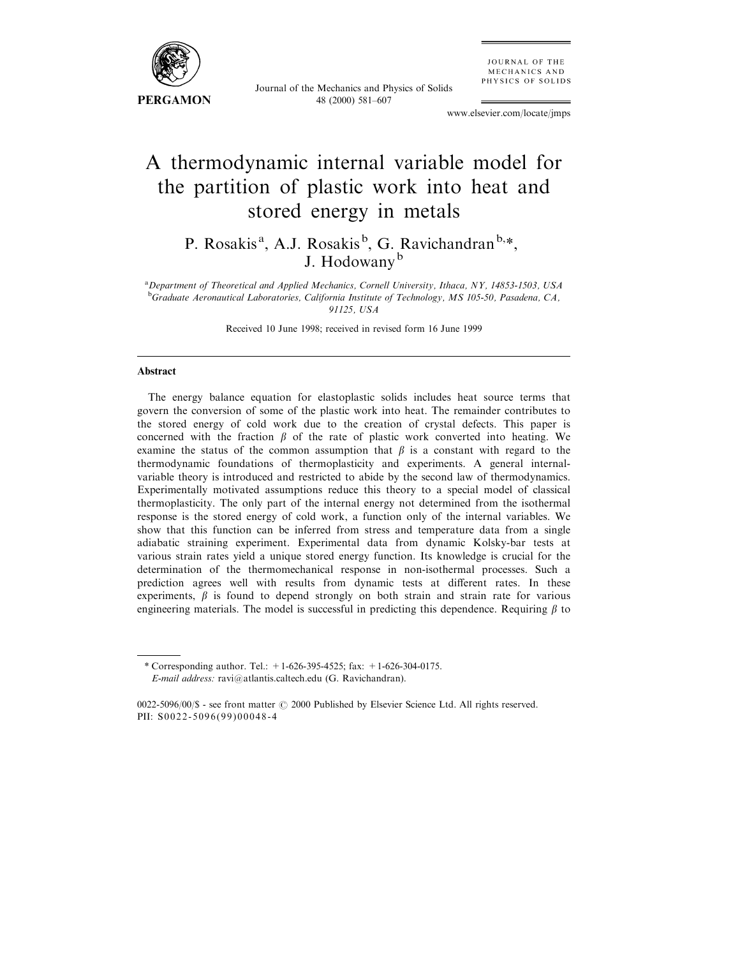

Journal of the Mechanics and Physics of Solids 48 (2000) 581-607

JOURNAL OF THE MECHANICS AND PHYSICS OF SOLIDS

www.elsevier.com/locate/jmps

# A thermodynamic internal variable model for the partition of plastic work into heat and stored energy in metals

P. Rosakis<sup>a</sup>, A.J. Rosakis<sup>b</sup>, G. Ravichandran<sup>b,\*</sup>, J. Hodowany<sup>b</sup>

<sup>a</sup> Department of Theoretical and Applied Mechanics, Cornell University, Ithaca, NY, 14853-1503, USA <sup>b</sup>Graduate Aeronautical Laboratories, California Institute of Technology, MS 105-50, Pasadena, CA, 91125, USA

Received 10 June 1998; received in revised form 16 June 1999

## Abstract

The energy balance equation for elastoplastic solids includes heat source terms that govern the conversion of some of the plastic work into heat. The remainder contributes to the stored energy of cold work due to the creation of crystal defects. This paper is concerned with the fraction  $\beta$  of the rate of plastic work converted into heating. We examine the status of the common assumption that  $\beta$  is a constant with regard to the thermodynamic foundations of thermoplasticity and experiments. A general internalvariable theory is introduced and restricted to abide by the second law of thermodynamics. Experimentally motivated assumptions reduce this theory to a special model of classical thermoplasticity. The only part of the internal energy not determined from the isothermal response is the stored energy of cold work, a function only of the internal variables. We show that this function can be inferred from stress and temperature data from a single adiabatic straining experiment. Experimental data from dynamic Kolsky-bar tests at various strain rates yield a unique stored energy function. Its knowledge is crucial for the determination of the thermomechanical response in non-isothermal processes. Such a prediction agrees well with results from dynamic tests at different rates. In these experiments,  $\beta$  is found to depend strongly on both strain and strain rate for various engineering materials. The model is successful in predicting this dependence. Requiring  $\beta$  to

<sup>\*</sup> Corresponding author. Tel.:  $+1-626-395-4525$ ; fax:  $+1-626-304-0175$ . E-mail address: ravi@atlantis.caltech.edu (G. Ravichandran).

<sup>0022-5096/00/\$ -</sup> see front matter  $\odot$  2000 Published by Elsevier Science Ltd. All rights reserved. PII: S0022-5096(99)00048-4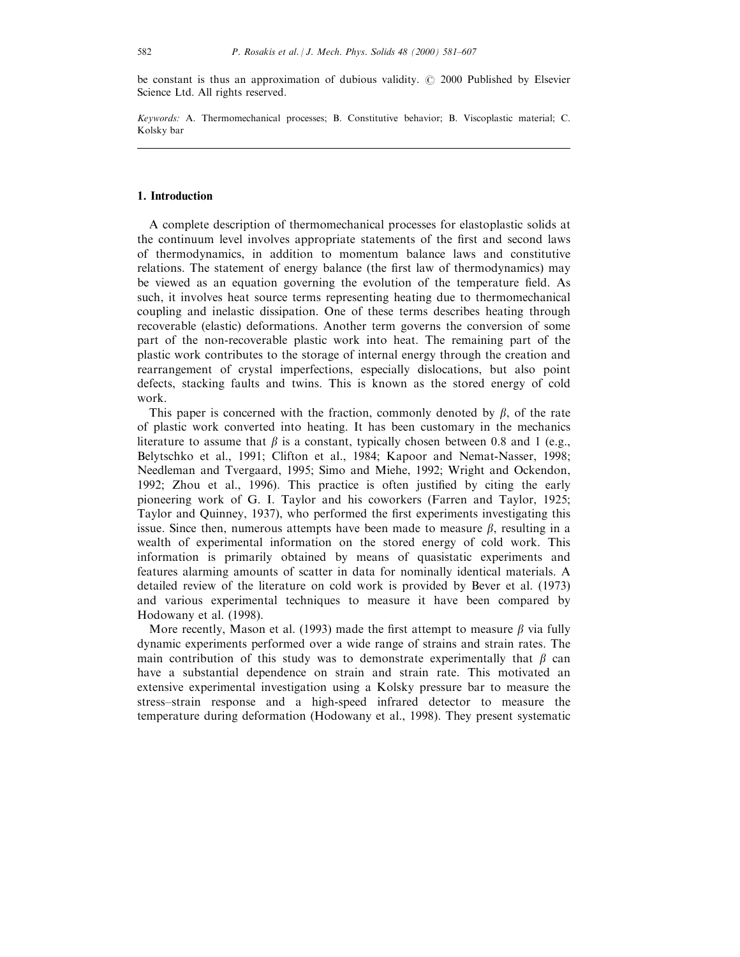be constant is thus an approximation of dubious validity.  $\oslash$  2000 Published by Elsevier Science Ltd. All rights reserved.

Keywords: A. Thermomechanical processes; B. Constitutive behavior; B. Viscoplastic material; C. Kolsky bar

## 1. Introduction

A complete description of thermomechanical processes for elastoplastic solids at the continuum level involves appropriate statements of the first and second laws of thermodynamics, in addition to momentum balance laws and constitutive relations. The statement of energy balance (the first law of thermodynamics) may be viewed as an equation governing the evolution of the temperature field. As such, it involves heat source terms representing heating due to thermomechanical coupling and inelastic dissipation. One of these terms describes heating through recoverable (elastic) deformations. Another term governs the conversion of some part of the non-recoverable plastic work into heat. The remaining part of the plastic work contributes to the storage of internal energy through the creation and rearrangement of crystal imperfections, especially dislocations, but also point defects, stacking faults and twins. This is known as the stored energy of cold work.

This paper is concerned with the fraction, commonly denoted by  $\beta$ , of the rate of plastic work converted into heating. It has been customary in the mechanics literature to assume that  $\beta$  is a constant, typically chosen between 0.8 and 1 (e.g., Belytschko et al., 1991; Clifton et al., 1984; Kapoor and Nemat-Nasser, 1998; Needleman and Tvergaard, 1995; Simo and Miehe, 1992; Wright and Ockendon, 1992; Zhou et al., 1996). This practice is often justified by citing the early pioneering work of G. I. Taylor and his coworkers (Farren and Taylor, 1925; Taylor and Quinney, 1937), who performed the first experiments investigating this issue. Since then, numerous attempts have been made to measure  $\beta$ , resulting in a wealth of experimental information on the stored energy of cold work. This information is primarily obtained by means of quasistatic experiments and features alarming amounts of scatter in data for nominally identical materials. A detailed review of the literature on cold work is provided by Bever et al. (1973) and various experimental techniques to measure it have been compared by Hodowany et al. (1998).

More recently, Mason et al. (1993) made the first attempt to measure  $\beta$  via fully dynamic experiments performed over a wide range of strains and strain rates. The main contribution of this study was to demonstrate experimentally that  $\beta$  can have a substantial dependence on strain and strain rate. This motivated an extensive experimental investigation using a Kolsky pressure bar to measure the stress-strain response and a high-speed infrared detector to measure the temperature during deformation (Hodowany et al., 1998). They present systematic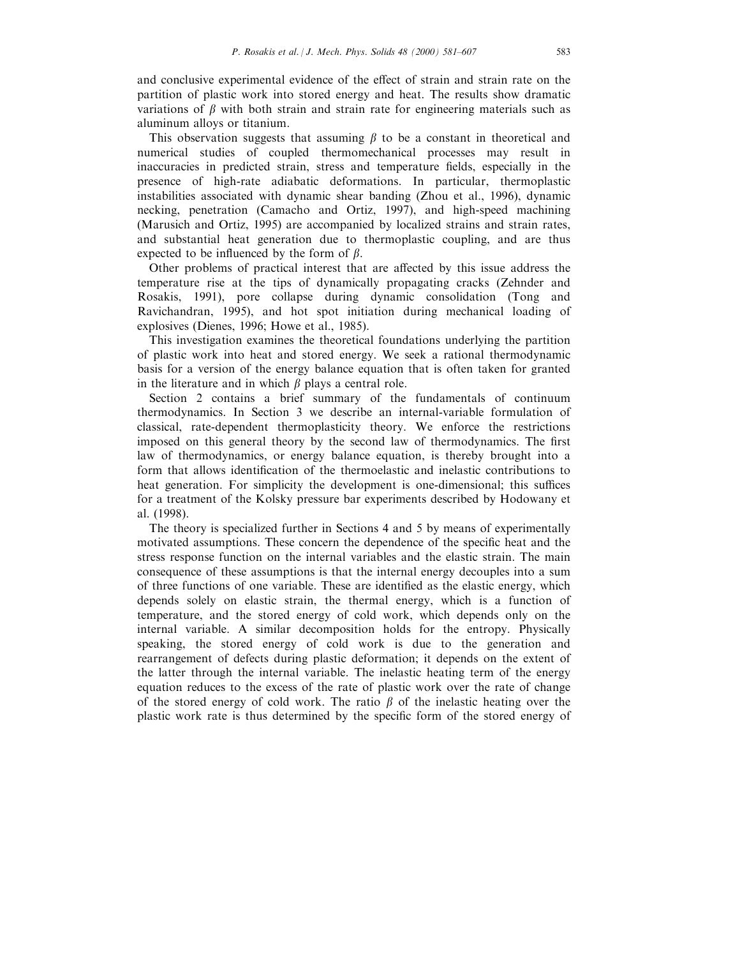and conclusive experimental evidence of the effect of strain and strain rate on the partition of plastic work into stored energy and heat. The results show dramatic variations of  $\beta$  with both strain and strain rate for engineering materials such as aluminum alloys or titanium.

This observation suggests that assuming  $\beta$  to be a constant in theoretical and numerical studies of coupled thermomechanical processes may result in inaccuracies in predicted strain, stress and temperature fields, especially in the presence of high-rate adiabatic deformations. In particular, thermoplastic instabilities associated with dynamic shear banding (Zhou et al., 1996), dynamic necking, penetration (Camacho and Ortiz, 1997), and high-speed machining (Marusich and Ortiz, 1995) are accompanied by localized strains and strain rates, and substantial heat generation due to thermoplastic coupling, and are thus expected to be influenced by the form of  $\beta$ .

Other problems of practical interest that are affected by this issue address the temperature rise at the tips of dynamically propagating cracks (Zehnder and Rosakis, 1991), pore collapse during dynamic consolidation (Tong and Ravichandran, 1995), and hot spot initiation during mechanical loading of explosives (Dienes, 1996; Howe et al., 1985).

This investigation examines the theoretical foundations underlying the partition of plastic work into heat and stored energy. We seek a rational thermodynamic basis for a version of the energy balance equation that is often taken for granted in the literature and in which  $\beta$  plays a central role.

Section 2 contains a brief summary of the fundamentals of continuum thermodynamics. In Section 3 we describe an internal-variable formulation of classical, rate-dependent thermoplasticity theory. We enforce the restrictions imposed on this general theory by the second law of thermodynamics. The first law of thermodynamics, or energy balance equation, is thereby brought into a form that allows identification of the thermoelastic and inelastic contributions to heat generation. For simplicity the development is one-dimensional; this suffices for a treatment of the Kolsky pressure bar experiments described by Hodowany et al. (1998).

The theory is specialized further in Sections 4 and 5 by means of experimentally motivated assumptions. These concern the dependence of the specific heat and the stress response function on the internal variables and the elastic strain. The main consequence of these assumptions is that the internal energy decouples into a sum of three functions of one variable. These are identified as the elastic energy, which depends solely on elastic strain, the thermal energy, which is a function of temperature, and the stored energy of cold work, which depends only on the internal variable. A similar decomposition holds for the entropy. Physically speaking, the stored energy of cold work is due to the generation and rearrangement of defects during plastic deformation; it depends on the extent of the latter through the internal variable. The inelastic heating term of the energy equation reduces to the excess of the rate of plastic work over the rate of change of the stored energy of cold work. The ratio  $\beta$  of the inelastic heating over the plastic work rate is thus determined by the specific form of the stored energy of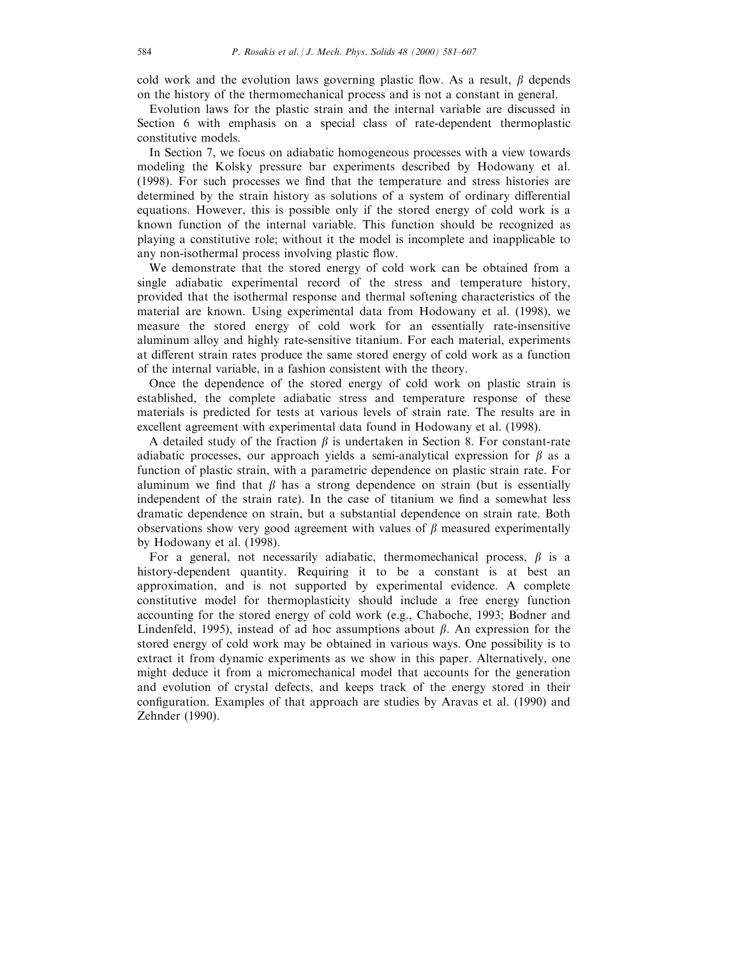cold work and the evolution laws governing plastic flow. As a result,  $\beta$  depends on the history of the thermomechanical process and is not a constant in general.

Evolution laws for the plastic strain and the internal variable are discussed in Section 6 with emphasis on a special class of rate-dependent thermoplastic constitutive models.

In Section 7, we focus on adiabatic homogeneous processes with a view towards modeling the Kolsky pressure bar experiments described by Hodowany et al. (1998). For such processes we find that the temperature and stress histories are determined by the strain history as solutions of a system of ordinary differential equations. However, this is possible only if the stored energy of cold work is a known function of the internal variable. This function should be recognized as playing a constitutive role; without it the model is incomplete and inapplicable to any non-isothermal process involving plastic flow.

We demonstrate that the stored energy of cold work can be obtained from a single adiabatic experimental record of the stress and temperature history, provided that the isothermal response and thermal softening characteristics of the material are known. Using experimental data from Hodowany et al. (1998), we measure the stored energy of cold work for an essentially rate-insensitive aluminum alloy and highly rate-sensitive titanium. For each material, experiments at different strain rates produce the same stored energy of cold work as a function of the internal variable, in a fashion consistent with the theory.

Once the dependence of the stored energy of cold work on plastic strain is established, the complete adiabatic stress and temperature response of these materials is predicted for tests at various levels of strain rate. The results are in excellent agreement with experimental data found in Hodowany et al. (1998).

A detailed study of the fraction  $\beta$  is undertaken in Section 8. For constant-rate adiabatic processes, our approach yields a semi-analytical expression for  $\beta$  as a function of plastic strain, with a parametric dependence on plastic strain rate. For aluminum we find that  $\beta$  has a strong dependence on strain (but is essentially independent of the strain rate). In the case of titanium we find a somewhat less dramatic dependence on strain, but a substantial dependence on strain rate. Both observations show very good agreement with values of  $\beta$  measured experimentally by Hodowany et al. (1998).

For a general, not necessarily adiabatic, thermomechanical process,  $\beta$  is a history-dependent quantity. Requiring it to be a constant is at best an approximation, and is not supported by experimental evidence. A complete constitutive model for thermoplasticity should include a free energy function accounting for the stored energy of cold work (e.g., Chaboche, 1993; Bodner and Lindenfeld, 1995), instead of ad hoc assumptions about  $\beta$ . An expression for the stored energy of cold work may be obtained in various ways. One possibility is to extract it from dynamic experiments as we show in this paper. Alternatively, one might deduce it from a micromechanical model that accounts for the generation and evolution of crystal defects, and keeps track of the energy stored in their configuration. Examples of that approach are studies by Aravas et al. (1990) and Zehnder (1990).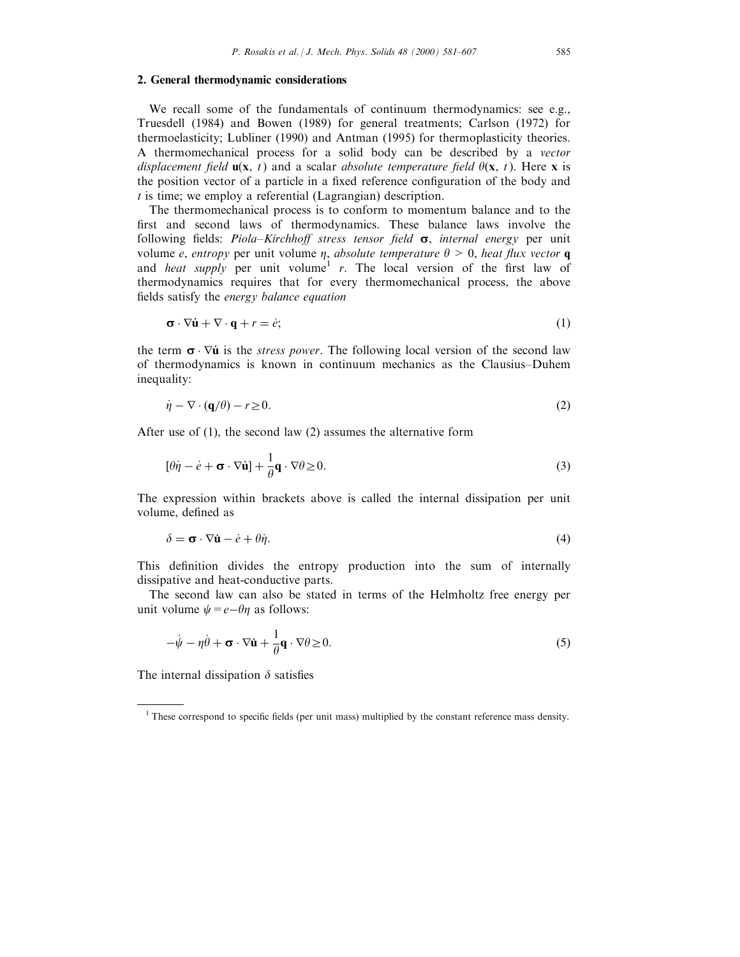## 2. General thermodynamic considerations

We recall some of the fundamentals of continuum thermodynamics: see e.g., Truesdell (1984) and Bowen (1989) for general treatments; Carlson (1972) for thermoelasticity; Lubliner (1990) and Antman (1995) for thermoplasticity theories. A thermomechanical process for a solid body can be described by a vector displacement field  $\mathbf{u}(\mathbf{x}, t)$  and a scalar absolute temperature field  $\theta(\mathbf{x}, t)$ . Here x is the position vector of a particle in a fixed reference configuration of the body and  $t$  is time; we employ a referential (Lagrangian) description.

The thermomechanical process is to conform to momentum balance and to the first and second laws of thermodynamics. These balance laws involve the following fields: *Piola–Kirchhoff stress tensor field*  $\sigma$ , *internal energy* per unit volume e, entropy per unit volume  $\eta$ , absolute temperature  $\theta > 0$ , heat flux vector **q** and heat supply per unit volume<sup>1</sup> r. The local version of the first law of thermodynamics requires that for every thermomechanical process, the above fields satisfy the energy balance equation

$$
\boldsymbol{\sigma} \cdot \nabla \dot{\mathbf{u}} + \nabla \cdot \mathbf{q} + r = \dot{e};\tag{1}
$$

the term  $\sigma \cdot \nabla \dot{\mathbf{u}}$  is the *stress power*. The following local version of the second law of thermodynamics is known in continuum mechanics as the Clausius-Duhem inequality:

$$
\dot{\eta} - \nabla \cdot (\mathbf{q}/\theta) - r \ge 0. \tag{2}
$$

After use of (1), the second law (2) assumes the alternative form

$$
[\theta \dot{\eta} - \dot{e} + \mathbf{\sigma} \cdot \nabla \dot{\mathbf{u}}] + \frac{1}{\theta} \mathbf{q} \cdot \nabla \theta \ge 0.
$$
 (3)

The expression within brackets above is called the internal dissipation per unit volume, defined as

$$
\delta = \mathbf{\sigma} \cdot \nabla \dot{\mathbf{u}} - \dot{e} + \theta \dot{\eta}.\tag{4}
$$

This definition divides the entropy production into the sum of internally dissipative and heat-conductive parts.

The second law can also be stated in terms of the Helmholtz free energy per unit volume  $\psi=e-\theta\eta$  as follows:

$$
-\dot{\psi} - \eta \dot{\theta} + \boldsymbol{\sigma} \cdot \nabla \dot{\mathbf{u}} + \frac{1}{\theta} \mathbf{q} \cdot \nabla \theta \ge 0.
$$
 (5)

The internal dissipation  $\delta$  satisfies

 $1$  These correspond to specific fields (per unit mass) multiplied by the constant reference mass density.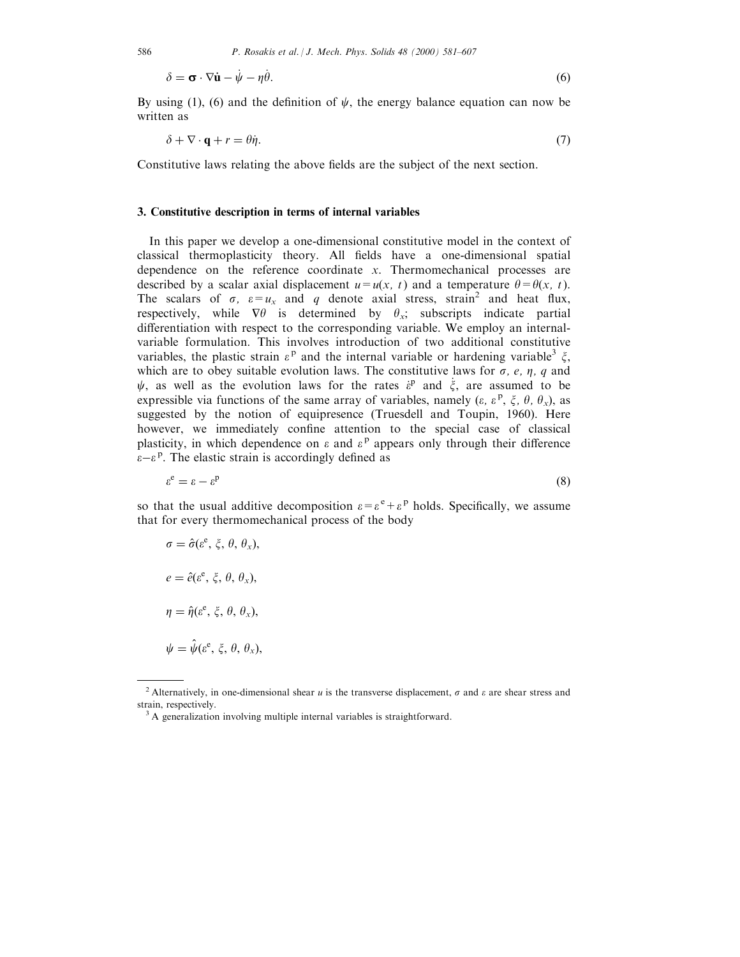$$
\delta = \mathbf{\sigma} \cdot \nabla \dot{\mathbf{u}} - \dot{\psi} - \eta \dot{\theta}.
$$
 (6)

By using (1), (6) and the definition of  $\psi$ , the energy balance equation can now be written as

$$
\delta + \nabla \cdot \mathbf{q} + r = \theta \dot{\eta}.\tag{7}
$$

Constitutive laws relating the above fields are the subject of the next section.

## 3. Constitutive description in terms of internal variables

In this paper we develop a one-dimensional constitutive model in the context of classical thermoplasticity theory. All fields have a one-dimensional spatial dependence on the reference coordinate x. Thermomechanical processes are described by a scalar axial displacement  $u=u(x, t)$  and a temperature  $\theta = \theta(x, t)$ . The scalars of  $\sigma$ ,  $\varepsilon = u_x$  and q denote axial stress, strain<sup>2</sup> and heat flux, respectively, while  $\nabla \theta$  is determined by  $\theta_x$ ; subscripts indicate partial differentiation with respect to the corresponding variable. We employ an internalvariable formulation. This involves introduction of two additional constitutive variables, the plastic strain  $\varepsilon^p$  and the internal variable or hardening variable<sup>3</sup>  $\xi$ , which are to obey suitable evolution laws. The constitutive laws for  $\sigma$ , e,  $\eta$ , q and  $\psi$ , as well as the evolution laws for the rates  $\dot{\varepsilon}^{\text{p}}$  and  $\dot{\xi}$ , are assumed to be expressible via functions of the same array of variables, namely ( $\varepsilon$ ,  $\varepsilon$ <sup>p</sup>,  $\xi$ ,  $\theta$ ,  $\theta_x$ ), as suggested by the notion of equipresence (Truesdell and Toupin, 1960). Here however, we immediately confine attention to the special case of classical plasticity, in which dependence on  $\varepsilon$  and  $\varepsilon^{\rm p}$  appears only through their difference  $\epsilon - \epsilon^p$ . The elastic strain is accordingly defined as

$$
\varepsilon^{\rm e} = \varepsilon - \varepsilon^{\rm p} \tag{8}
$$

so that the usual additive decomposition  $\varepsilon = \varepsilon^e + \varepsilon^p$  holds. Specifically, we assume that for every thermomechanical process of the body

$$
\sigma = \hat{\sigma}(\varepsilon^e, \xi, \theta, \theta_x),
$$

$$
e = \hat{e}(\varepsilon^e, \xi, \theta, \theta_x),
$$

$$
\eta = \hat{\eta}(\varepsilon^e, \xi, \theta, \theta_x),
$$

$$
\psi = \hat{\psi}(\varepsilon^e, \xi, \theta, \theta_x),
$$

<sup>&</sup>lt;sup>2</sup> Alternatively, in one-dimensional shear u is the transverse displacement,  $\sigma$  and  $\varepsilon$  are shear stress and strain, respectively.<br><sup>3</sup> A generalization involving multiple internal variables is straightforward.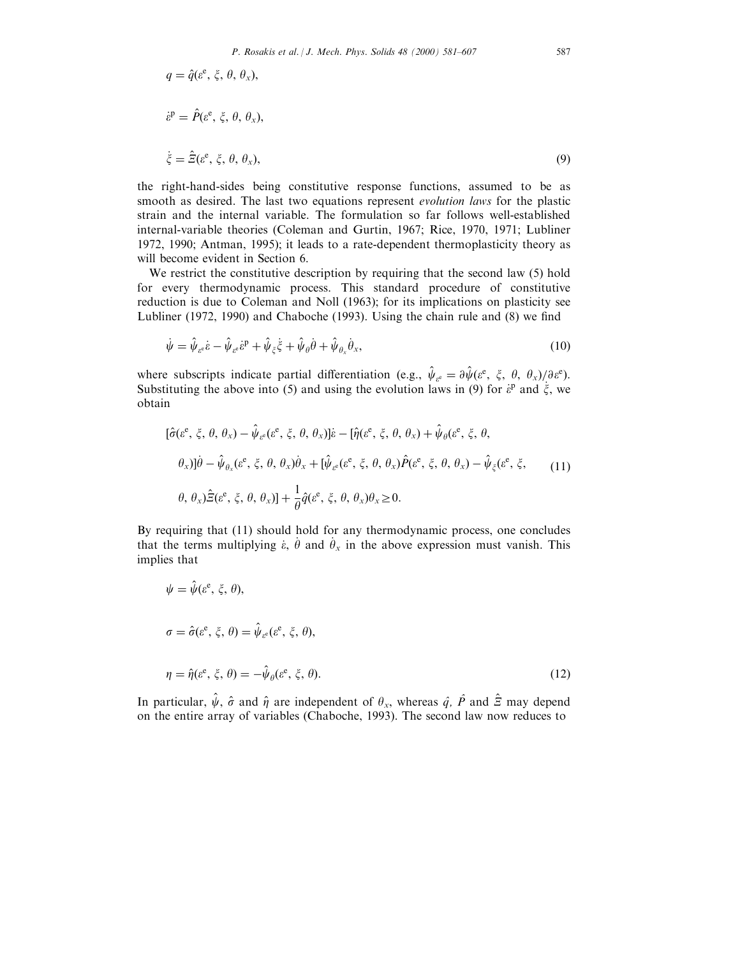$$
q = \hat{q}(\varepsilon^e, \xi, \theta, \theta_x),
$$
  
\n
$$
\dot{\varepsilon}^p = \hat{P}(\varepsilon^e, \xi, \theta, \theta_x),
$$
  
\n
$$
\dot{\xi} = \hat{\Xi}(\varepsilon^e, \xi, \theta, \theta_x),
$$
  
\n(9)

the right-hand-sides being constitutive response functions, assumed to be as smooth as desired. The last two equations represent evolution laws for the plastic strain and the internal variable. The formulation so far follows well-established internal-variable theories (Coleman and Gurtin, 1967; Rice, 1970, 1971; Lubliner 1972, 1990; Antman, 1995); it leads to a rate-dependent thermoplasticity theory as will become evident in Section 6.

We restrict the constitutive description by requiring that the second law (5) hold for every thermodynamic process. This standard procedure of constitutive reduction is due to Coleman and Noll (1963); for its implications on plasticity see Lubliner (1972, 1990) and Chaboche (1993). Using the chain rule and  $(8)$  we find

$$
\dot{\psi} = \hat{\psi}_{\varepsilon^c} \dot{\varepsilon} - \hat{\psi}_{\varepsilon^c} \dot{\varepsilon}^p + \hat{\psi}_{\zeta} \dot{\xi} + \hat{\psi}_{\theta} \dot{\theta} + \hat{\psi}_{\theta_x} \dot{\theta}_x, \tag{10}
$$

where subscripts indicate partial differentiation (e.g.,  $\hat{\psi}_{\varepsilon^e} = \partial \hat{\psi} (\varepsilon^e, \xi, \theta, \theta_x) / \partial \varepsilon^e$ ). Substituting the above into (5) and using the evolution laws in (9) for  $\dot{\varepsilon}^{\text{p}}$  and  $\dot{\xi}$ , we obtain

$$
[\hat{\sigma}(\varepsilon^e, \xi, \theta, \theta_x) - \hat{\psi}_{\varepsilon^e}(\varepsilon^e, \xi, \theta, \theta_x)]\dot{\varepsilon} - [\hat{\eta}(\varepsilon^e, \xi, \theta, \theta_x) + \hat{\psi}_{\theta}(\varepsilon^e, \xi, \theta, \theta_x) \n\theta_x)]\dot{\theta} - \hat{\psi}_{\theta_x}(\varepsilon^e, \xi, \theta, \theta_x)\dot{\theta}_x + [\hat{\psi}_{\varepsilon^e}(\varepsilon^e, \xi, \theta, \theta_x)\hat{P}(\varepsilon^e, \xi, \theta, \theta_x) - \hat{\psi}_{\xi}(\varepsilon^e, \xi, \theta, \theta_x)]\n\theta, \theta_x)\hat{\Xi}(\varepsilon^e, \xi, \theta, \theta_x)] + \frac{1}{\theta}\hat{q}(\varepsilon^e, \xi, \theta, \theta_x)\theta_x \ge 0.
$$
\n(11)

By requiring that (11) should hold for any thermodynamic process, one concludes that the terms multiplying  $\dot{\varepsilon}$ ,  $\dot{\theta}$  and  $\dot{\theta}_x$  in the above expression must vanish. This implies that

$$
\psi = \hat{\psi}(e^e, \xi, \theta),
$$
  
\n
$$
\sigma = \hat{\sigma}(e^e, \xi, \theta) = \hat{\psi}_{e^e}(e^e, \xi, \theta),
$$
  
\n
$$
\eta = \hat{\eta}(e^e, \xi, \theta) = -\hat{\psi}_{\theta}(e^e, \xi, \theta).
$$
\n(12)

In particular,  $\hat{\psi}$ ,  $\hat{\sigma}$  and  $\hat{\eta}$  are independent of  $\theta_x$ , whereas  $\hat{q}$ ,  $\hat{P}$  and  $\hat{Z}$  may depend on the entire array of variables (Chaboche, 1993). The second law now reduces to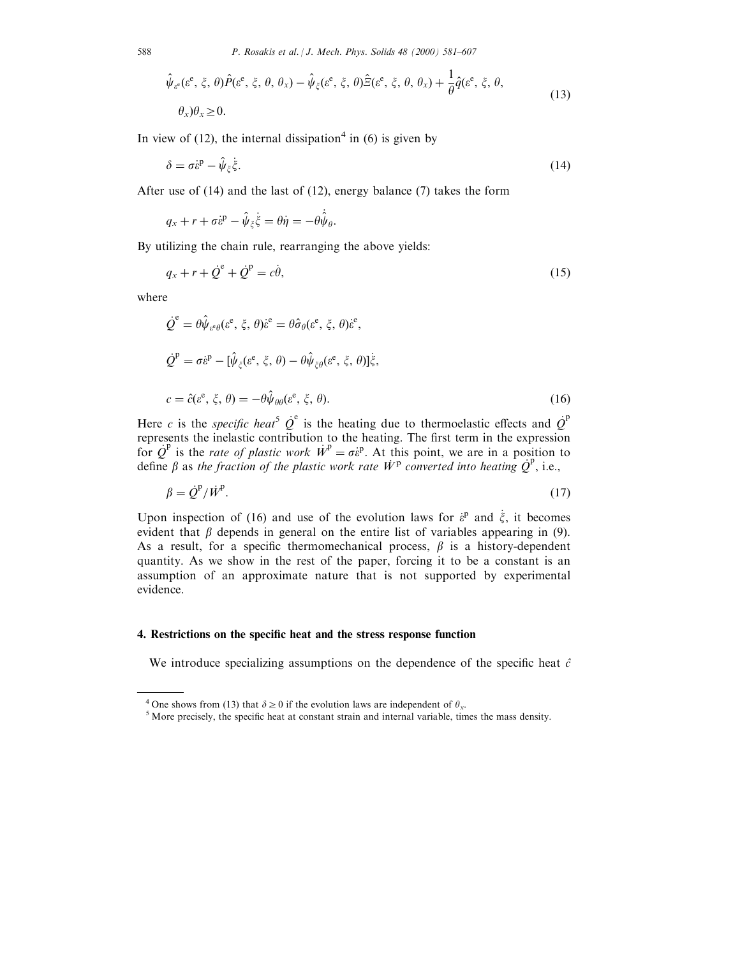$$
\hat{\psi}_{\varepsilon^{\varepsilon}}(\varepsilon^{\varepsilon}, \xi, \theta) \hat{P}(\varepsilon^{\varepsilon}, \xi, \theta, \theta_{x}) - \hat{\psi}_{\xi}(\varepsilon^{\varepsilon}, \xi, \theta) \hat{\Xi}(\varepsilon^{\varepsilon}, \xi, \theta, \theta_{x}) + \frac{1}{\theta} \hat{q}(\varepsilon^{\varepsilon}, \xi, \theta, \theta_{x})
$$
\n
$$
\theta_{x}) \theta_{x} \ge 0.
$$
\n(13)

In view of (12), the internal dissipation<sup>4</sup> in (6) is given by

$$
\delta = \sigma \dot{\varepsilon}^{\mathrm{p}} - \hat{\psi}_{\xi} \dot{\xi}.\tag{14}
$$

After use of (14) and the last of (12), energy balance (7) takes the form

$$
q_x + r + \sigma \dot{\varepsilon}^{\mathrm{p}} - \hat{\psi}_{\xi} \dot{\xi} = \theta \dot{\eta} = -\theta \dot{\hat{\psi}}_{\theta}.
$$

By utilizing the chain rule, rearranging the above yields:

$$
q_x + r + \dot{Q}^e + \dot{Q}^p = c\dot{\theta},\tag{15}
$$

where

$$
\dot{Q}^e = \theta \hat{\psi}_{\varepsilon \theta} (\varepsilon^e, \xi, \theta) \dot{\varepsilon}^e = \theta \hat{\sigma}_{\theta} (\varepsilon^e, \xi, \theta) \dot{\varepsilon}^e,
$$
  
\n
$$
\dot{Q}^p = \sigma \dot{\varepsilon}^p - [\hat{\psi}_{\xi} (\varepsilon^e, \xi, \theta) - \theta \hat{\psi}_{\xi \theta} (\varepsilon^e, \xi, \theta)] \dot{\xi},
$$
  
\n
$$
c = \hat{c} (\varepsilon^e, \xi, \theta) = -\theta \hat{\psi}_{\theta \theta} (\varepsilon^e, \xi, \theta).
$$
\n(16)

Here c is the specific heat<sup>5</sup>  $\dot{Q}^e$  is the heating due to thermoelastic effects and  $\dot{Q}^p$ represents the inelastic contribution to the heating. The first term in the expression for  $\dot{Q}^{\text{p}}$  is the *rate of plastic work*  $\dot{W}^{\text{p}} = \sigma \dot{\varepsilon}^{\text{p}}$ . At this point, we are in a position to define  $\beta$  as the fraction of the plastic work rate  $\dot{W}^{\text{p}}$  converted into heating  $\dot{Q}^{\text{p}}$ 

$$
\beta = \dot{\mathcal{Q}}^{\mathrm{P}} / \dot{W}^{\mathrm{P}}.\tag{17}
$$

Upon inspection of (16) and use of the evolution laws for  $\dot{\varepsilon}^p$  and  $\dot{\xi}$ , it becomes evident that  $\beta$  depends in general on the entire list of variables appearing in (9). As a result, for a specific thermomechanical process,  $\beta$  is a history-dependent quantity. As we show in the rest of the paper, forcing it to be a constant is an assumption of an approximate nature that is not supported by experimental evidence.

## 4. Restrictions on the specific heat and the stress response function

We introduce specializing assumptions on the dependence of the specific heat  $\hat{c}$ 

<sup>&</sup>lt;sup>4</sup> One shows from (13) that  $\delta \ge 0$  if the evolution laws are independent of  $\theta_x$ . <sup>5</sup> More precisely, the specific heat at constant strain and internal variable, times the mass density.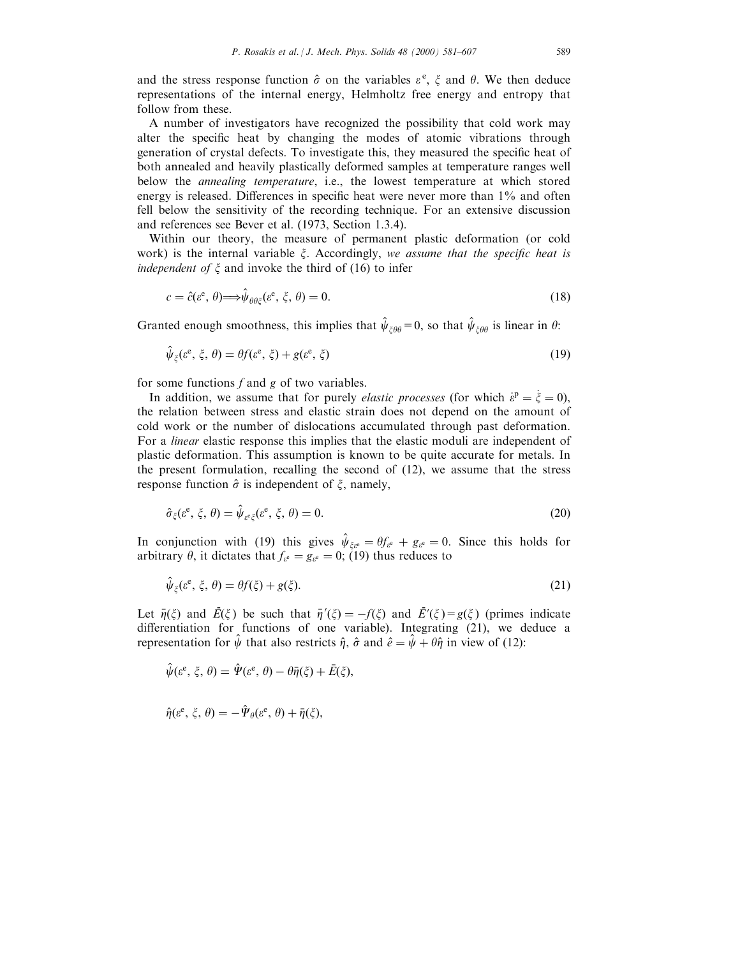and the stress response function  $\hat{\sigma}$  on the variables  $\varepsilon^e$ ,  $\xi$  and  $\theta$ . We then deduce representations of the internal energy, Helmholtz free energy and entropy that follow from these.

A number of investigators have recognized the possibility that cold work may alter the specific heat by changing the modes of atomic vibrations through generation of crystal defects. To investigate this, they measured the specific heat of both annealed and heavily plastically deformed samples at temperature ranges well below the annealing temperature, i.e., the lowest temperature at which stored energy is released. Differences in specific heat were never more than  $1\%$  and often fell below the sensitivity of the recording technique. For an extensive discussion and references see Bever et al. (1973, Section 1.3.4).

Within our theory, the measure of permanent plastic deformation (or cold work) is the internal variable  $\xi$ . Accordingly, we assume that the specific heat is *independent of*  $\xi$  and invoke the third of (16) to infer

$$
c = \hat{c}(\varepsilon^e, \theta) \Longrightarrow \hat{\psi}_{\theta \theta \xi}(\varepsilon^e, \xi, \theta) = 0. \tag{18}
$$

Granted enough smoothness, this implies that  $\hat{\psi}_{\xi\theta\theta} = 0$ , so that  $\hat{\psi}_{\xi\theta\theta}$  is linear in  $\theta$ :

$$
\hat{\psi}_{\xi}(e^{\mathbf{e}}, \xi, \theta) = \theta f(e^{\mathbf{e}}, \xi) + g(e^{\mathbf{e}}, \xi)
$$
\n(19)

for some functions  $f$  and  $g$  of two variables.

In addition, we assume that for purely *elastic processes* (for which  $\dot{\varepsilon}^{\text{p}} = \dot{\xi} = 0$ ), the relation between stress and elastic strain does not depend on the amount of cold work or the number of dislocations accumulated through past deformation. For a linear elastic response this implies that the elastic moduli are independent of plastic deformation. This assumption is known to be quite accurate for metals. In the present formulation, recalling the second of (12), we assume that the stress response function  $\hat{\sigma}$  is independent of  $\zeta$ , namely,

$$
\hat{\sigma}_{\xi}(e^{\mathbf{e}}, \xi, \theta) = \hat{\psi}_{e^{\mathbf{e}}\xi}(e^{\mathbf{e}}, \xi, \theta) = 0.
$$
\n(20)

In conjunction with (19) this gives  $\hat{\psi}_{\xi g} = \theta f_{g} + g_{g} = 0$ . Since this holds for arbitrary  $\theta$ , it dictates that  $f_{\varepsilon^e} = g_{\varepsilon^e} = 0$ ; (19) thus reduces to

$$
\hat{\psi}_{\xi}(\varepsilon^{\mathrm{e}}, \xi, \theta) = \theta f(\xi) + g(\xi). \tag{21}
$$

Let  $\bar{\eta}(\xi)$  and  $\bar{E}(\xi)$  be such that  $\bar{\eta}'(\xi) = -f(\xi)$  and  $\bar{E}'(\xi) = g(\xi)$  (primes indicate differentiation for functions of one variable). Integrating  $(21)$ , we deduce a representation for  $\psi$  that also restricts  $\hat{\eta}$ ,  $\hat{\sigma}$  and  $\hat{e} = \psi + \theta \hat{\eta}$  in view of (12):

$$
\hat{\psi}(\varepsilon^{\rm e}, \xi, \theta) = \hat{\Psi}(\varepsilon^{\rm e}, \theta) - \theta \bar{\eta}(\xi) + \bar{E}(\xi),
$$

$$
\hat{\eta}(\varepsilon^{\rm e},\xi,\theta)=-\hat{\Psi}_{\theta}(\varepsilon^{\rm e},\theta)+\bar{\eta}(\xi),
$$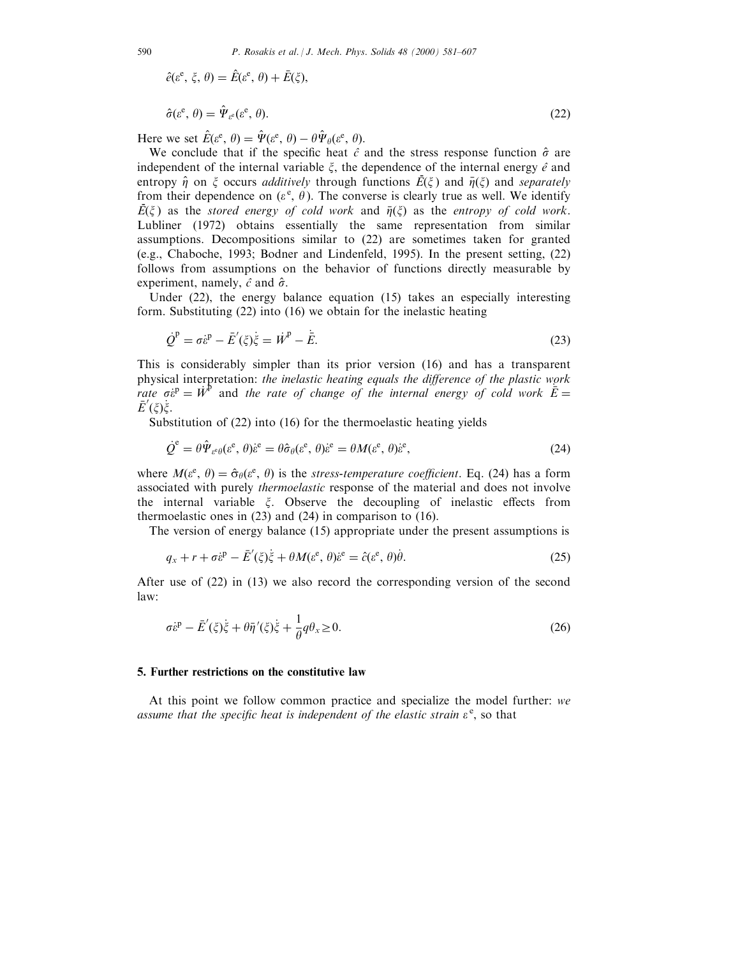$$
\hat{e}(\varepsilon^{\rm e}, \xi, \theta) = \hat{E}(\varepsilon^{\rm e}, \theta) + \bar{E}(\xi),
$$

$$
\hat{\sigma}(\varepsilon^{\mathbf{e}}, \theta) = \hat{\Psi}_{\varepsilon^{\mathbf{e}}}(\varepsilon^{\mathbf{e}}, \theta). \tag{22}
$$

Here we set  $\hat{E}(\varepsilon^e, \theta) = \hat{\Psi}(\varepsilon^e, \theta) - \theta \hat{\Psi}_{\theta}(\varepsilon^e, \theta).$ 

We conclude that if the specific heat  $\hat{c}$  and the stress response function  $\hat{\sigma}$  are independent of the internal variable  $\xi$ , the dependence of the internal energy  $\hat{e}$  and entropy  $\hat{\eta}$  on  $\xi$  occurs *additively* through functions  $\vec{E}(\xi)$  and  $\vec{\eta}(\xi)$  and *separately* from their dependence on  $(\varepsilon^e, \theta)$ . The converse is clearly true as well. We identify Fig.  $\vec{E}(\xi)$  as the *stored energy of cold work* and  $\bar{\eta}(\xi)$  as the *entropy of cold work*. Lubliner (1972) obtains essentially the same representation from similar assumptions. Decompositions similar to (22) are sometimes taken for granted (e.g., Chaboche, 1993; Bodner and Lindenfeld, 1995). In the present setting, (22) follows from assumptions on the behavior of functions directly measurable by experiment, namely,  $\hat{c}$  and  $\hat{\sigma}$ .

Under (22), the energy balance equation (15) takes an especially interesting form. Substituting (22) into (16) we obtain for the inelastic heating

$$
\dot{\mathcal{Q}}^{\mathrm{p}} = \sigma \dot{\varepsilon}^{\mathrm{p}} - \bar{E}'(\xi)\dot{\xi} = \dot{W}^{\mathrm{p}} - \dot{\bar{E}}.
$$
\n(23)

This is considerably simpler than its prior version (16) and has a transparent physical interpretation: the inelastic heating equals the difference of the plastic work rate  $\vec{\sigma}^{\text{p}} = \vec{W}^{\text{p}}$  and the rate of change of the internal energy of cold work  $\vec{E} =$  $\bar{E}'(\xi)\dot{\xi}.$ 

Substitution of (22) into (16) for the thermoelastic heating yields

$$
\dot{\mathcal{Q}}^{\hat{e}} = \theta \hat{\Psi}_{\varepsilon^e \theta}(\varepsilon^e, \theta) \dot{\varepsilon}^e = \theta \hat{\sigma}_\theta(\varepsilon^e, \theta) \dot{\varepsilon}^e = \theta M(\varepsilon^e, \theta) \dot{\varepsilon}^e,\tag{24}
$$

where  $M(\varepsilon^e, \theta) = \hat{\sigma}_\theta(\varepsilon^e, \theta)$  is the *stress-temperature coefficient*. Eq. (24) has a form associated with purely thermoelastic response of the material and does not involve the internal variable  $\xi$ . Observe the decoupling of inelastic effects from thermoelastic ones in (23) and (24) in comparison to (16).

The version of energy balance (15) appropriate under the present assumptions is

$$
q_x + r + \sigma \dot{\varepsilon}^{\mathrm{p}} - \bar{E}'(\xi)\dot{\xi} + \theta M(\varepsilon^{\mathrm{e}}, \theta)\dot{\varepsilon}^{\mathrm{e}} = \hat{c}(\varepsilon^{\mathrm{e}}, \theta)\dot{\theta}.
$$
 (25)

After use of (22) in (13) we also record the corresponding version of the second law:

$$
\sigma \dot{\varepsilon}^{\mathrm{p}} - \bar{E}'(\xi)\dot{\xi} + \theta \bar{\eta}'(\xi)\dot{\xi} + \frac{1}{\theta}q\theta_{x} \ge 0. \tag{26}
$$

#### 5. Further restrictions on the constitutive law

At this point we follow common practice and specialize the model further: we assume that the specific heat is independent of the elastic strain  $\varepsilon^e$ , so that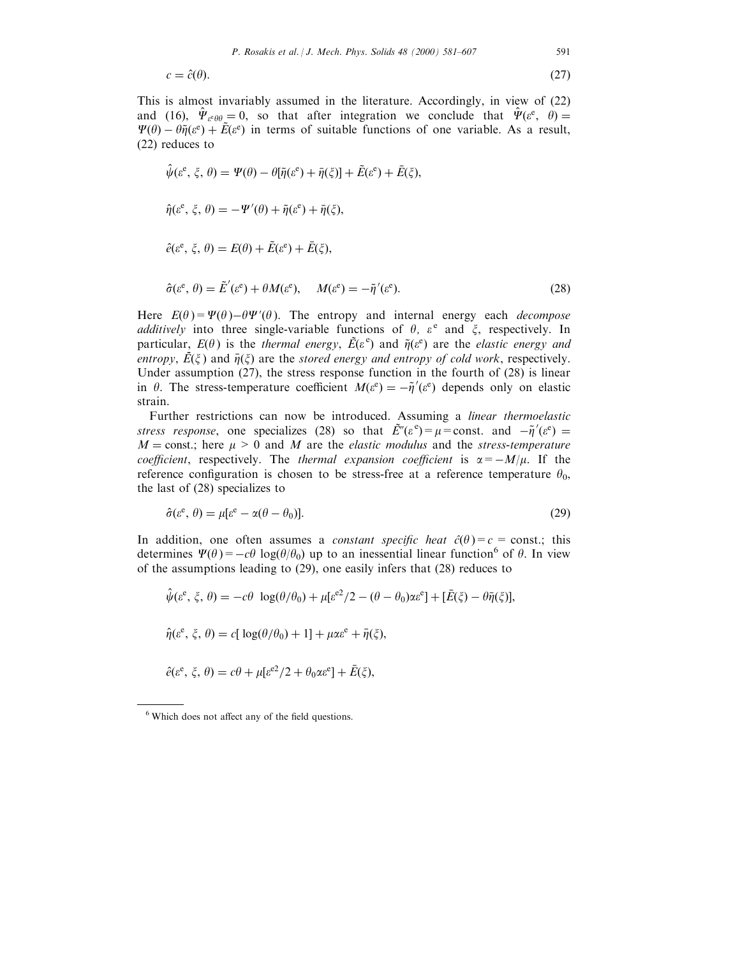$$
c = \hat{c}(\theta). \tag{27}
$$

This is almost invariably assumed in the literature. Accordingly, in view of (22) and (16),  $\hat{\Psi}_{\varepsilon^e \theta \theta} = 0$ , so that after integration we conclude that  $\hat{\Psi}(\varepsilon^e, \theta) =$  $\Psi(\theta) - \theta \tilde{\eta}(\varepsilon^e) + \tilde{E}(\varepsilon^e)$  in terms of suitable functions of one variable. As a result, (22) reduces to

$$
\hat{\psi}(\varepsilon^e, \xi, \theta) = \Psi(\theta) - \theta[\tilde{\eta}(\varepsilon^e) + \bar{\eta}(\xi)] + \tilde{E}(\varepsilon^e) + \bar{E}(\xi),
$$
\n
$$
\hat{\eta}(\varepsilon^e, \xi, \theta) = -\Psi'(\theta) + \tilde{\eta}(\varepsilon^e) + \bar{\eta}(\xi),
$$
\n
$$
\hat{e}(\varepsilon^e, \xi, \theta) = E(\theta) + \tilde{E}(\varepsilon^e) + \bar{E}(\xi),
$$
\n
$$
\hat{\sigma}(\varepsilon^e, \theta) = \tilde{E}'(\varepsilon^e) + \theta M(\varepsilon^e), \quad M(\varepsilon^e) = -\tilde{\eta}'(\varepsilon^e).
$$
\n(28)

Here  $E(\theta) = \Psi(\theta) - \theta \Psi'(\theta)$ . The entropy and internal energy each *decompose* additively into three single-variable functions of  $\theta$ ,  $\varepsilon^e$  and  $\xi$ , respectively. In particular,  $E(\theta)$  is the thermal energy,  $\tilde{E}(\varepsilon^e)$  and  $\tilde{\eta}(\varepsilon^e)$  are the elastic energy and particular,  $E(s)$  is the *internal energy*,  $E(s)$  and  $\eta(s)$  are the entropy,  $E(\xi)$  and  $\bar{\eta}(\xi)$  are the *stored energy and entropy of cold work*, respectively. Under assumption (27), the stress response function in the fourth of (28) is linear in  $\theta$ . The stress-temperature coefficient  $M(\varepsilon^e) = -\tilde{\eta}'(\varepsilon^e)$  depends only on elastic strain.

Further restrictions can now be introduced. Assuming a linear thermoelastic stress response, one specializes (28) so that  $\tilde{E}''(\varepsilon^e) = \mu = \text{const.}$  and  $-\tilde{\eta}'(\varepsilon^e) =$  $M = \text{const.};$  here  $\mu > 0$  and M are the *elastic modulus* and the *stress-temperature* coefficient, respectively. The thermal expansion coefficient is  $\alpha = -M/\mu$ . If the reference configuration is chosen to be stress-free at a reference temperature  $\theta_0$ , the last of (28) specializes to

$$
\hat{\sigma}(\varepsilon^e, \theta) = \mu[\varepsilon^e - \alpha(\theta - \theta_0)].
$$
\n(29)

In addition, one often assumes a *constant specific heat*  $\hat{c}(\theta) = c = \text{const.};$  this determines  $\Psi(\theta) = -c\theta \log(\theta/\theta_0)$  up to an inessential linear function<sup>6</sup> of  $\theta$ . In view of the assumptions leading to (29), one easily infers that (28) reduces to

$$
\hat{\psi}(\varepsilon^e, \xi, \theta) = -c\theta \log(\theta/\theta_0) + \mu[\varepsilon^{e^2}/2 - (\theta - \theta_0)\alpha \varepsilon^e] + [\bar{E}(\xi) - \theta \bar{\eta}(\xi)],
$$
  

$$
\hat{\eta}(\varepsilon^e, \xi, \theta) = c[\log(\theta/\theta_0) + 1] + \mu \alpha \varepsilon^e + \bar{\eta}(\xi),
$$
  

$$
\hat{e}(\varepsilon^e, \xi, \theta) = c\theta + \mu[\varepsilon^{e^2}/2 + \theta_0 \alpha \varepsilon^e] + \bar{E}(\xi),
$$

 $6$  Which does not affect any of the field questions.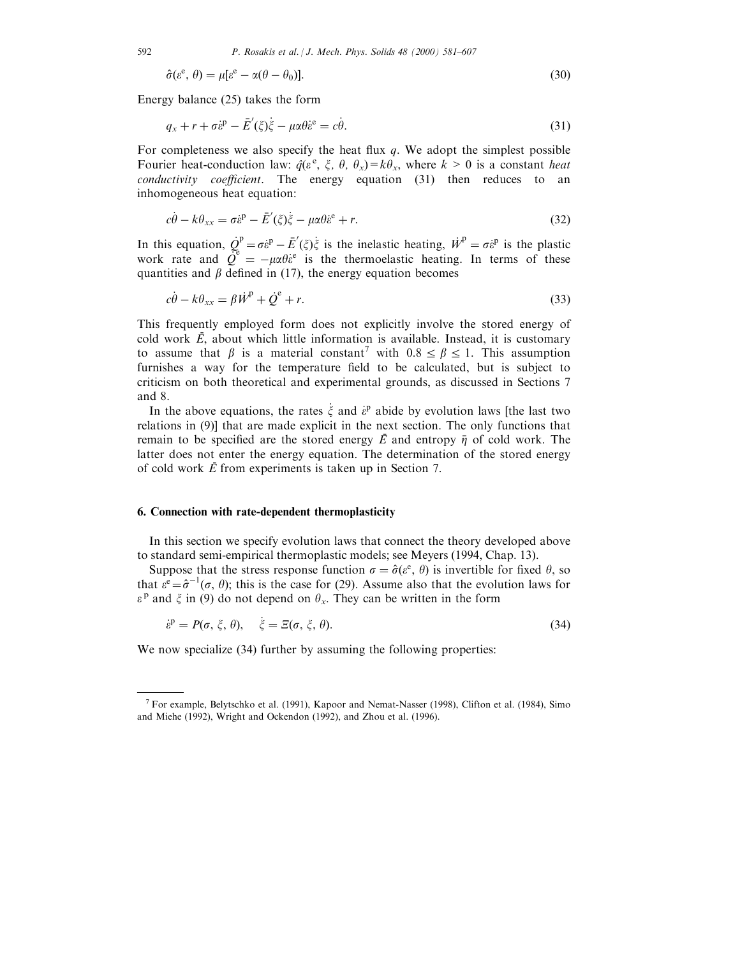$$
\hat{\sigma}(\varepsilon^e, \theta) = \mu[\varepsilon^e - \alpha(\theta - \theta_0)].
$$
\n(30)

Energy balance (25) takes the form

$$
q_x + r + \sigma \dot{\varepsilon}^{\mathrm{p}} - \bar{E}'(\xi)\dot{\xi} - \mu \alpha \theta \dot{\varepsilon}^{\mathrm{e}} = c\dot{\theta}.
$$
\n(31)

For completeness we also specify the heat flux  $q$ . We adopt the simplest possible Fourier heat-conduction law:  $\hat{q}(\varepsilon^e, \xi, \theta, \theta_x) = k\theta_x$ , where  $k > 0$  is a constant *heat*  $conductivity$   $coefficient$ . The energy equation  $(31)$  then reduces to an inhomogeneous heat equation:

$$
c\dot{\theta} - k\theta_{xx} = \sigma \dot{\varepsilon}^{\mathrm{p}} - \bar{E}'(\xi)\dot{\xi} - \mu \alpha \theta \dot{\varepsilon}^{\mathrm{e}} + r.
$$
\n(32)

In this equation,  $Q_e^p = \sigma \dot{\varepsilon}^p - \bar{E}'(\xi)\dot{\xi}$  is the inelastic heating,  $\dot{W}^p = \sigma \dot{\varepsilon}^p$  is the plastic work rate and  $\hat{Q}^e = -\mu \alpha \theta e^e$  is the thermoelastic heating. In terms of these quantities and  $\beta$  defined in (17), the energy equation becomes

$$
c\dot{\theta} - k\theta_{xx} = \beta \dot{W}^{\text{P}} + \dot{Q}^{\text{e}} + r.
$$
\n(33)

This frequently employed form does not explicitly involve the stored energy of  $\overline{c}$  cold work  $\overline{E}$ , about which little information is available. Instead, it is customary to assume that  $\beta$  is a material constant<sup>7</sup> with  $0.8 \le \beta \le 1$ . This assumption furnishes a way for the temperature field to be calculated, but is subject to criticism on both theoretical and experimental grounds, as discussed in Sections 7 and 8.

In the above equations, the rates  $\dot{\xi}$  and  $\dot{\epsilon}^p$  abide by evolution laws [the last two relations in (9)] that are made explicit in the next section. The only functions that remain to be specified are the stored energy  $\vec{E}$  and entropy  $\vec{\eta}$  of cold work. The latter does not enter the energy equation. The determination of the stored energy of cold work  $\vec{E}$  from experiments is taken up in Section 7.

#### 6. Connection with rate-dependent thermoplasticity

In this section we specify evolution laws that connect the theory developed above to standard semi-empirical thermoplastic models; see Meyers (1994, Chap. 13).

Suppose that the stress response function  $\sigma = \hat{\sigma}(\varepsilon^e, \theta)$  is invertible for fixed  $\theta$ , so that  $\varepsilon^e = \hat{\sigma}^{-1}(\sigma, \theta)$ ; this is the case for (29). Assume also that the evolution laws for  $\varepsilon^{\text{p}}$  and  $\xi$  in (9) do not depend on  $\theta_x$ . They can be written in the form

$$
\dot{\varepsilon}^{\mathsf{p}} = P(\sigma, \xi, \theta), \quad \dot{\xi} = \Xi(\sigma, \xi, \theta). \tag{34}
$$

We now specialize (34) further by assuming the following properties:

<sup>&</sup>lt;sup>7</sup> For example, Belytschko et al. (1991), Kapoor and Nemat-Nasser (1998), Clifton et al. (1984), Simo and Miehe (1992), Wright and Ockendon (1992), and Zhou et al. (1996).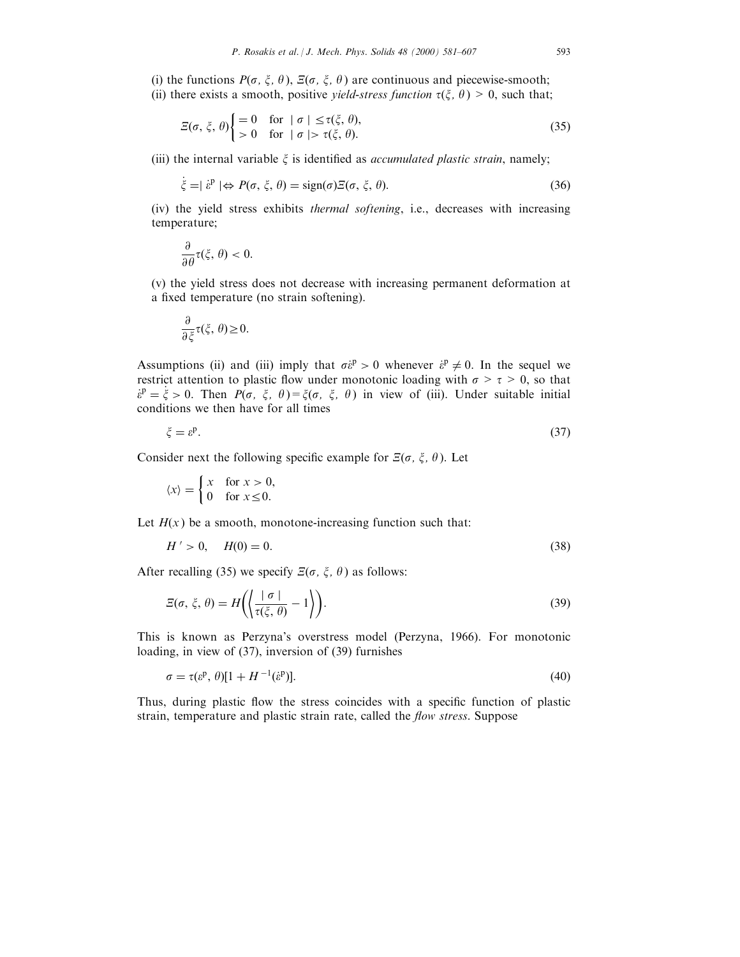(i) the functions  $P(\sigma, \xi, \theta)$ ,  $\Xi(\sigma, \xi, \theta)$  are continuous and piecewise-smooth; (ii) there exists a smooth, positive *yield-stress function*  $\tau(\xi, \theta) > 0$ , such that;

$$
\mathcal{Z}(\sigma, \xi, \theta) \begin{cases} = 0 & \text{for} \quad \sigma \mid \leq \tau(\xi, \theta), \\ & > 0 \quad \text{for} \quad \sigma \mid \geq \tau(\xi, \theta). \end{cases} \tag{35}
$$

(iii) the internal variable  $\xi$  is identified as *accumulated plastic strain*, namely;

$$
\dot{\xi} = |\dot{\varepsilon}^{\mathrm{p}}| \Leftrightarrow P(\sigma, \xi, \theta) = \text{sign}(\sigma) \Xi(\sigma, \xi, \theta). \tag{36}
$$

(iv) the yield stress exhibits thermal softening, i.e., decreases with increasing temperature;

$$
\frac{\partial}{\partial \theta} \tau(\xi, \theta) < 0.
$$

(v) the yield stress does not decrease with increasing permanent deformation at a fixed temperature (no strain softening).

$$
\frac{\partial}{\partial \xi}\tau(\xi,\,\theta)\geq 0.
$$

Assumptions (ii) and (iii) imply that  $\sigma \dot{\epsilon}^p > 0$  whenever  $\dot{\epsilon}^p \neq 0$ . In the sequel we restrict attention to plastic flow under monotonic loading with  $\sigma > \tau > 0$ , so that  $\dot{\epsilon}^p = \dot{\xi} > 0$ . Then  $P(\sigma, \xi, \theta) = \xi(\sigma, \xi, \theta)$  in view of (iii). Under suitable initial conditions we then have for all times

$$
\xi = \varepsilon^p. \tag{37}
$$

Consider next the following specific example for  $\mathcal{E}(\sigma, \xi, \theta)$ . Let

$$
\langle x \rangle = \begin{cases} x & \text{for } x > 0, \\ 0 & \text{for } x \le 0. \end{cases}
$$

Let  $H(x)$  be a smooth, monotone-increasing function such that:

$$
H' > 0, \quad H(0) = 0. \tag{38}
$$

After recalling (35) we specify  $E(\sigma, \xi, \theta)$  as follows:

$$
\Xi(\sigma,\xi,\theta) = H\left(\left\langle \frac{|\sigma|}{\tau(\xi,\theta)} - 1 \right\rangle\right).
$$
\n(39)

This is known as Perzyna's overstress model (Perzyna, 1966). For monotonic loading, in view of (37), inversion of (39) furnishes

$$
\sigma = \tau(\varepsilon^{\mathbf{p}}, \theta)[1 + H^{-1}(\varepsilon^{\mathbf{p}})]. \tag{40}
$$

Thus, during plastic flow the stress coincides with a specific function of plastic strain, temperature and plastic strain rate, called the *flow stress*. Suppose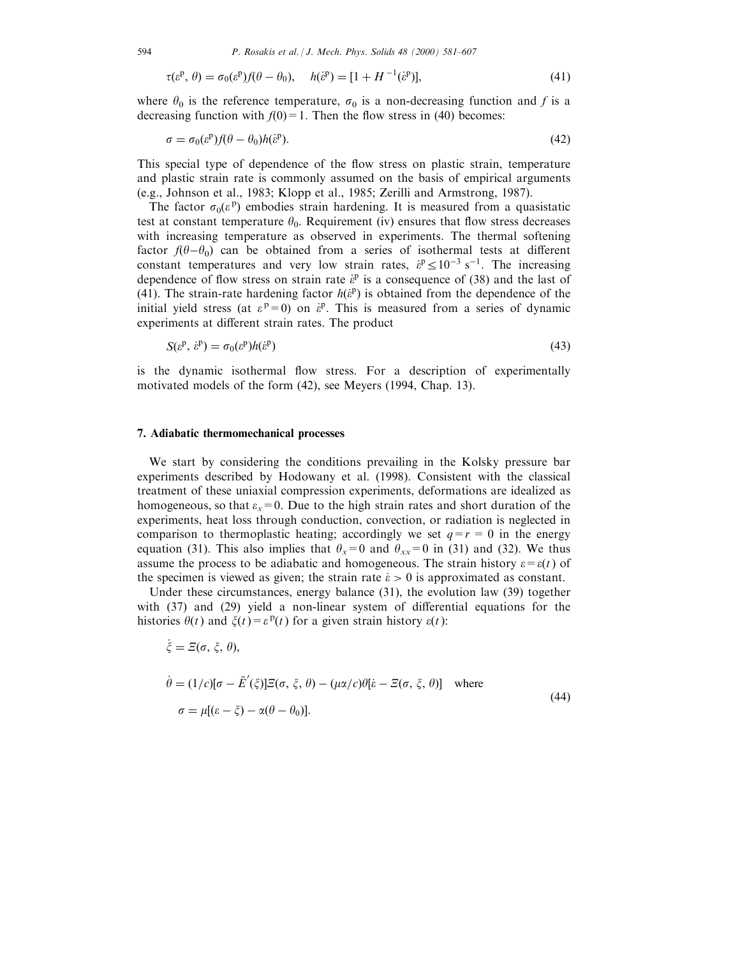$$
\tau(\varepsilon^{\mathbf{p}}, \theta) = \sigma_0(\varepsilon^{\mathbf{p}}) f(\theta - \theta_0), \quad h(\varepsilon^{\mathbf{p}}) = [1 + H^{-1}(\varepsilon^{\mathbf{p}})],\tag{41}
$$

where  $\theta_0$  is the reference temperature,  $\sigma_0$  is a non-decreasing function and f is a decreasing function with  $f(0)=1$ . Then the flow stress in (40) becomes:

$$
\sigma = \sigma_0(\varepsilon^p) f(\theta - \theta_0) h(\varepsilon^p). \tag{42}
$$

This special type of dependence of the flow stress on plastic strain, temperature and plastic strain rate is commonly assumed on the basis of empirical arguments (e.g., Johnson et al., 1983; Klopp et al., 1985; Zerilli and Armstrong, 1987).

The factor  $\sigma_0(\varepsilon^p)$  embodies strain hardening. It is measured from a quasistatic test at constant temperature  $\theta_0$ . Requirement (iv) ensures that flow stress decreases with increasing temperature as observed in experiments. The thermal softening factor  $f(\theta - \theta_0)$  can be obtained from a series of isothermal tests at different constant temperatures and very low strain rates,  $\dot{\epsilon}^p \leq 10^{-3}$  s<sup>-1</sup>. The increasing dependence of flow stress on strain rate  $\dot{\varepsilon}^{\text{p}}$  is a consequence of (38) and the last of (41). The strain-rate hardening factor  $h(\hat{e}^p)$  is obtained from the dependence of the initial yield stress (at  $\varepsilon^p = 0$ ) on  $\dot{\varepsilon}^p$ . This is measured from a series of dynamic experiments at different strain rates. The product

$$
S(\varepsilon^{\mathbf{p}}, \dot{\varepsilon}^{\mathbf{p}}) = \sigma_0(\varepsilon^{\mathbf{p}})h(\dot{\varepsilon}^{\mathbf{p}})
$$
\n(43)

is the dynamic isothermal flow stress. For a description of experimentally motivated models of the form (42), see Meyers (1994, Chap. 13).

## 7. Adiabatic thermomechanical processes

We start by considering the conditions prevailing in the Kolsky pressure bar experiments described by Hodowany et al. (1998). Consistent with the classical treatment of these uniaxial compression experiments, deformations are idealized as homogeneous, so that  $\varepsilon_x=0$ . Due to the high strain rates and short duration of the experiments, heat loss through conduction, convection, or radiation is neglected in comparison to thermoplastic heating; accordingly we set  $q=r=0$  in the energy equation (31). This also implies that  $\theta_x=0$  and  $\theta_{xx}=0$  in (31) and (32). We thus assume the process to be adiabatic and homogeneous. The strain history  $\varepsilon = \varepsilon(t)$  of the specimen is viewed as given; the strain rate  $\dot{\epsilon} > 0$  is approximated as constant.

Under these circumstances, energy balance (31), the evolution law (39) together with  $(37)$  and  $(29)$  yield a non-linear system of differential equations for the histories  $\theta(t)$  and  $\xi(t) = \varepsilon^{p}(t)$  for a given strain history  $\varepsilon(t)$ :

$$
\dot{\xi} = \Xi(\sigma, \xi, \theta),
$$
  
\n
$$
\dot{\theta} = (1/c)[\sigma - \bar{E}'(\xi)]\Xi(\sigma, \xi, \theta) - (\mu \alpha/c)\theta[\dot{\epsilon} - \Xi(\sigma, \xi, \theta)] \text{ where}
$$
  
\n
$$
\sigma = \mu[(\epsilon - \xi) - \alpha(\theta - \theta_0)].
$$
\n(44)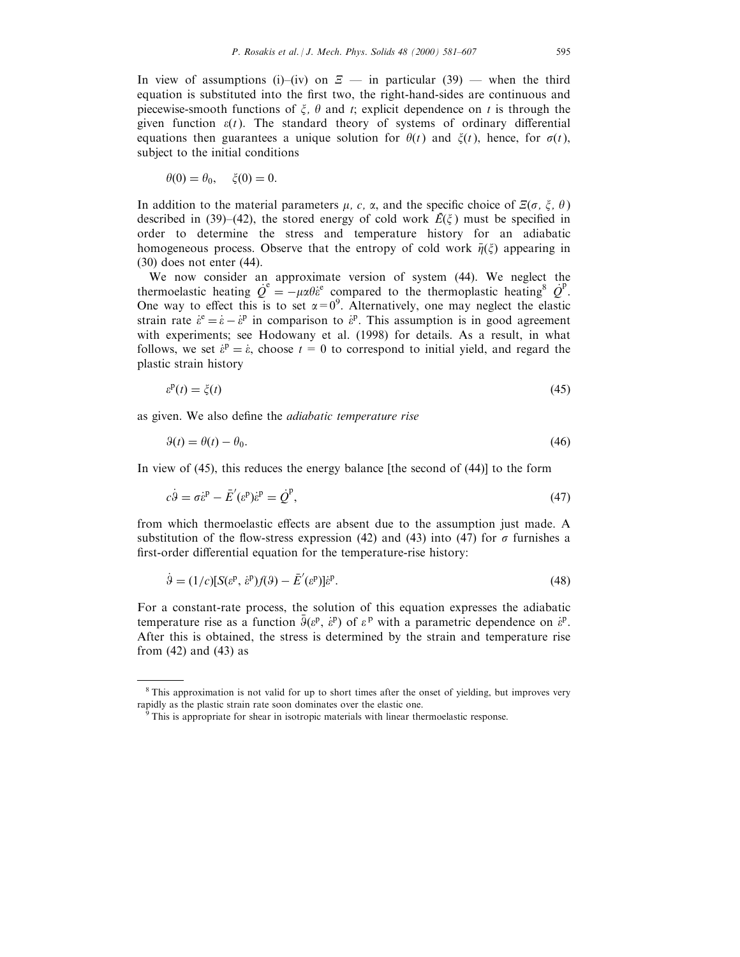In view of assumptions (i)–(iv) on  $\mathcal{Z}$  — in particular (39) — when the third equation is substituted into the first two, the right-hand-sides are continuous and piecewise-smooth functions of  $\xi$ ,  $\theta$  and t; explicit dependence on t is through the given function  $\varepsilon(t)$ . The standard theory of systems of ordinary differential equations then guarantees a unique solution for  $\theta(t)$  and  $\xi(t)$ , hence, for  $\sigma(t)$ , subject to the initial conditions

$$
\theta(0) = \theta_0, \quad \xi(0) = 0.
$$

In addition to the material parameters  $\mu$ , c,  $\alpha$ , and the specific choice of  $\mathcal{Z}(\sigma, \xi, \theta)$ described in (39)–(42), the stored energy of cold work  $\vec{E}(\xi)$  must be specified in order to determine the stress and temperature history for an adiabatic homogeneous process. Observe that the entropy of cold work  $\bar{\eta}(\xi)$  appearing in (30) does not enter (44).

We now consider an approximate version of system (44). We neglect the thermoelastic heating  $\dot{Q}^e = -\mu \alpha \theta \dot{\epsilon}^e$  compared to the thermoplastic heating<sup>8</sup>  $\dot{Q}^P$ . One way to effect this is to set  $\alpha = 0^9$ . Alternatively, one may neglect the elastic strain rate  $\dot{\varepsilon}^e = \dot{\varepsilon} - \dot{\varepsilon}^p$  in comparison to  $\dot{\varepsilon}^p$ . This assumption is in good agreement with experiments; see Hodowany et al. (1998) for details. As a result, in what follows, we set  $\dot{\varepsilon}^{\text{p}} = \dot{\varepsilon}$ , choose  $t = 0$  to correspond to initial yield, and regard the plastic strain history

$$
\varepsilon^{\mathbf{p}}(t) = \zeta(t) \tag{45}
$$

as given. We also define the *adiabatic temperature rise* 

$$
\theta(t) = \theta(t) - \theta_0. \tag{46}
$$

In view of (45), this reduces the energy balance [the second of (44)] to the form

$$
c\dot{\theta} = \sigma \dot{\varepsilon}^{\mathrm{p}} - \bar{E}'(\varepsilon^{\mathrm{p}})\dot{\varepsilon}^{\mathrm{p}} = \dot{Q}^{\mathrm{p}},\tag{47}
$$

from which thermoelastic effects are absent due to the assumption just made. A substitution of the flow-stress expression (42) and (43) into (47) for  $\sigma$  furnishes a first-order differential equation for the temperature-rise history:

$$
\dot{\Theta} = (1/c)[S(\varepsilon^{\mathbf{p}}, \dot{\varepsilon}^{\mathbf{p}})f(\Theta) - \bar{E}'(\varepsilon^{\mathbf{p}})]\dot{\varepsilon}^{\mathbf{p}}.
$$
\n(48)

For a constant-rate process, the solution of this equation expresses the adiabatic temperature rise as a function  $\bar{g}(\varepsilon^p, \varepsilon^p)$  of  $\varepsilon^p$  with a parametric dependence on  $\varepsilon^p$ . After this is obtained, the stress is determined by the strain and temperature rise from (42) and (43) as

<sup>&</sup>lt;sup>8</sup> This approximation is not valid for up to short times after the onset of yielding, but improves very rapidly as the plastic strain rate soon dominates over the elastic one.<br><sup>9</sup> This is appropriate for shear in isotropic materials with linear thermoelastic response.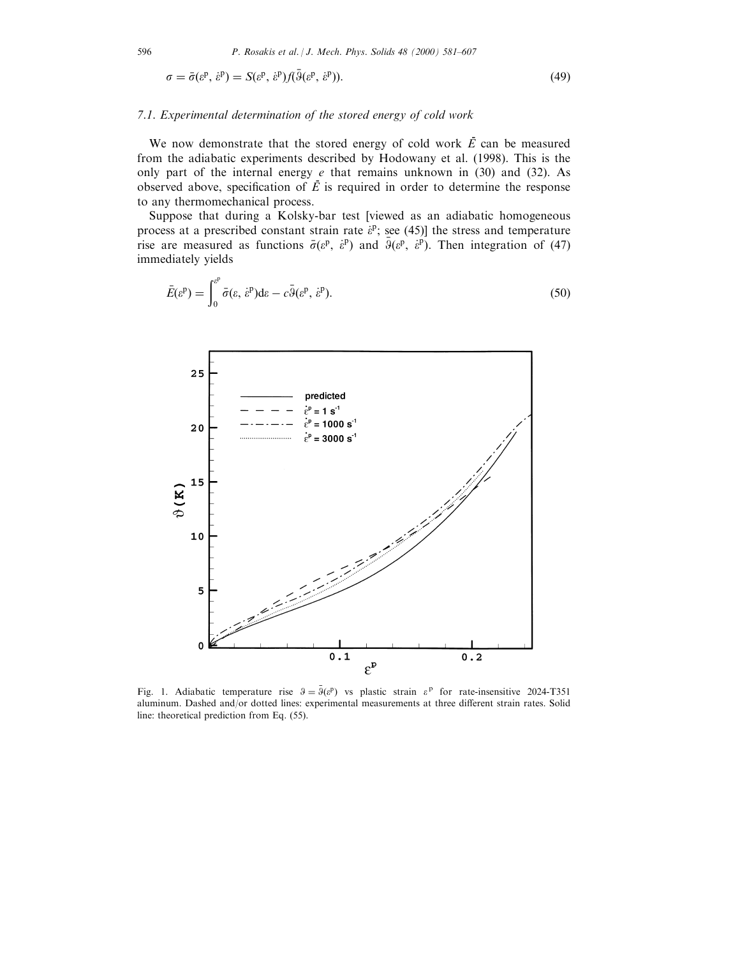$$
\sigma = \bar{\sigma}(\varepsilon^{\mathbf{p}}, \dot{\varepsilon}^{\mathbf{p}}) = S(\varepsilon^{\mathbf{p}}, \dot{\varepsilon}^{\mathbf{p}}) f(\bar{\vartheta}(\varepsilon^{\mathbf{p}}, \dot{\varepsilon}^{\mathbf{p}})).
$$
\n(49)

#### 7.1. Experimental determination of the stored energy of cold work

We now demonstrate that the stored energy of cold work  $\vec{E}$  can be measured from the adiabatic experiments described by Hodowany et al. (1998). This is the only part of the internal energy  $e$  that remains unknown in (30) and (32). As observed above, specification of  $\vec{E}$  is required in order to determine the response to any thermomechanical process.

Suppose that during a Kolsky-bar test [viewed as an adiabatic homogeneous process at a prescribed constant strain rate  $\dot{\epsilon}^p$ ; see (45)] the stress and temperature rise are measured as functions  $\bar{\sigma}(\varepsilon^p, \varepsilon^p)$  and  $\bar{\vartheta}(\varepsilon^p, \varepsilon^p)$ . Then integration of (47) immediately yields

$$
\bar{E}(\varepsilon^{\mathbf{p}}) = \int_0^{\varepsilon^{\mathbf{p}}} \bar{\sigma}(\varepsilon, \dot{\varepsilon}^{\mathbf{p}}) d\varepsilon - c \bar{\vartheta}(\varepsilon^{\mathbf{p}}, \dot{\varepsilon}^{\mathbf{p}}).
$$
\n(50)



Fig. 1. Adiabatic temperature rise  $\theta = \bar{\theta}(e^p)$  vs plastic strain  $e^p$  for rate-insensitive 2024-T351 aluminum. Dashed and/or dotted lines: experimental measurements at three different strain rates. Solid line: theoretical prediction from Eq. (55).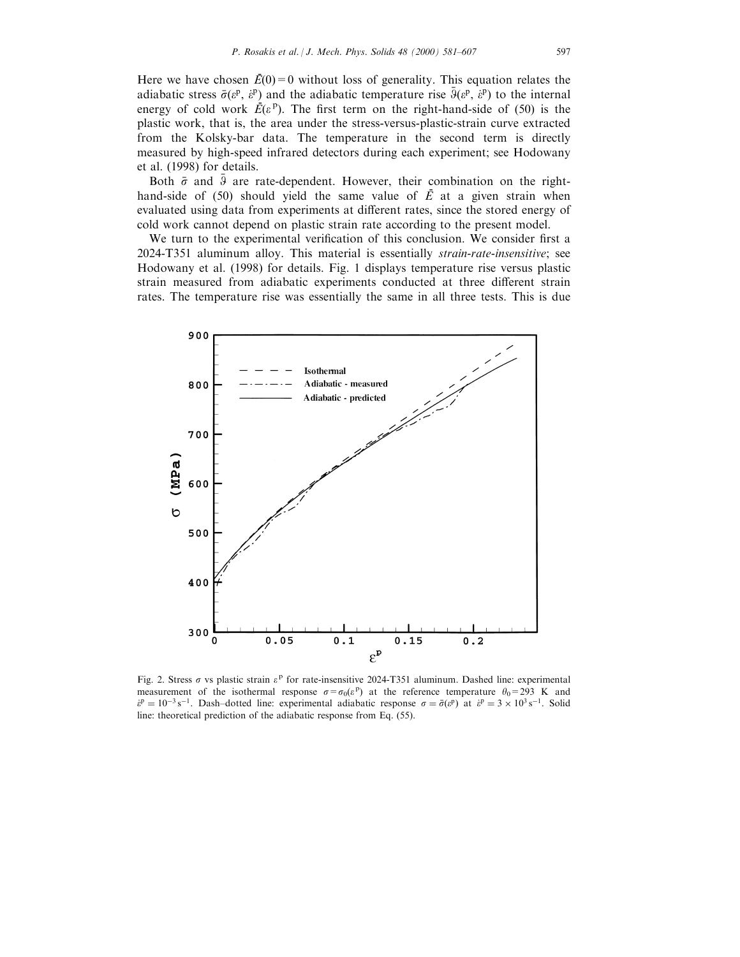Here we have chosen  $\bar{E}(0) = 0$  without loss of generality. This equation relates the adiabatic stress  $\bar{\sigma}(\varepsilon^p, \varepsilon^p)$  and the adiabatic temperature rise  $\bar{\vartheta}(\varepsilon^p, \varepsilon^p)$  to the internal energy of cold work  $\vec{E}(\varepsilon^p)$ . The first term on the right-hand-side of (50) is the plastic work, that is, the area under the stress-versus-plastic-strain curve extracted from the Kolsky-bar data. The temperature in the second term is directly measured by high-speed infrared detectors during each experiment; see Hodowany et al. (1998) for details.

Both  $\bar{\sigma}$  and  $\bar{\theta}$  are rate-dependent. However, their combination on the righthand-side of  $(50)$  should yield the same value of  $\overline{E}$  at a given strain when evaluated using data from experiments at different rates, since the stored energy of cold work cannot depend on plastic strain rate according to the present model.

We turn to the experimental verification of this conclusion. We consider first a 2024-T351 aluminum alloy. This material is essentially strain-rate-insensitive; see Hodowany et al. (1998) for details. Fig. 1 displays temperature rise versus plastic strain measured from adiabatic experiments conducted at three different strain rates. The temperature rise was essentially the same in all three tests. This is due



Fig. 2. Stress  $\sigma$  vs plastic strain  $\varepsilon^p$  for rate-insensitive 2024-T351 aluminum. Dashed line: experimental measurement of the isothermal response  $\sigma = \sigma_0(\varepsilon^p)$  at the reference temperature  $\theta_0 = 293$  K and  $\hat{e}^{\text{p}} = 10^{-3} \text{ s}^{-1}$ . Dash-dotted line: experimental adiabatic response  $\sigma = \bar{\sigma}(\hat{e}^{\text{p}})$  at  $\hat{e}^{\text{p}} = 3 \times 10^{3} \text{ s}^{-1}$ . Solid line: theoretical prediction of the adiabatic response from Eq. (55).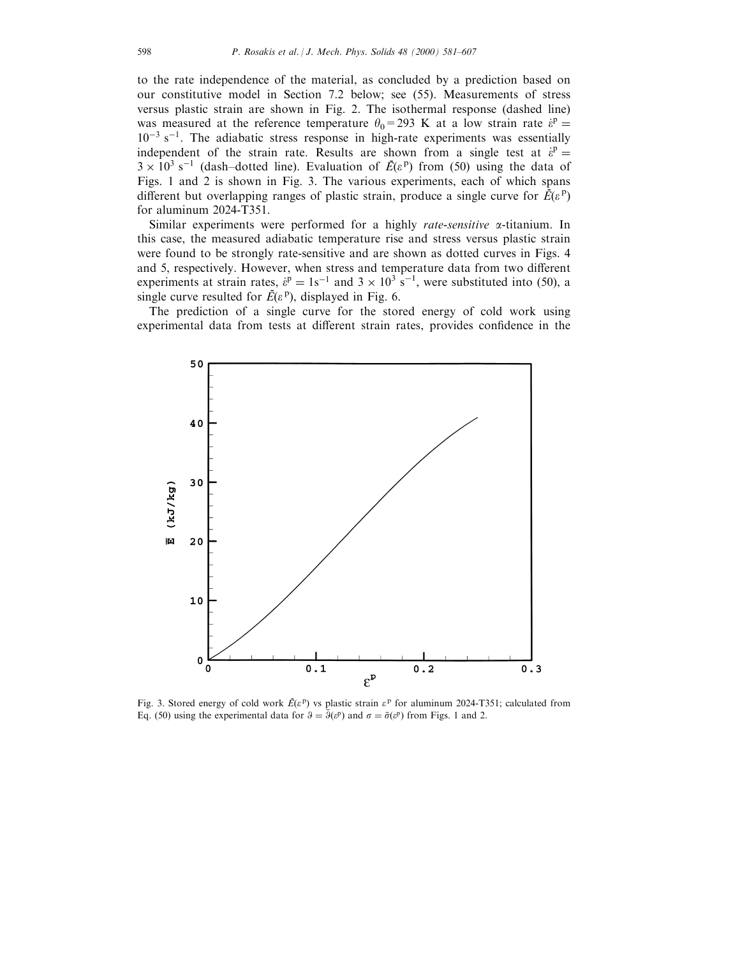to the rate independence of the material, as concluded by a prediction based on our constitutive model in Section 7.2 below; see (55). Measurements of stress versus plastic strain are shown in Fig. 2. The isothermal response (dashed line) was measured at the reference temperature  $\theta_0 = 293$  K at a low strain rate  $\dot{\epsilon}^{\text{p}} =$  $10^{-3}$  s<sup>-1</sup>. The adiabatic stress response in high-rate experiments was essentially independent of the strain rate. Results are shown from a single test at  $\dot{e}^p =$  $3 \times 10^3$  s<sup>-1</sup> (dash-dotted line). Evaluation of  $\vec{E}(\varepsilon^p)$  from (50) using the data of Figs. 1 and 2 is shown in Fig. 3. The various experiments, each of which spans different but overlapping ranges of plastic strain, produce a single curve for  $\vec{E}(\varepsilon^{\text{p}})$ for aluminum 2024-T351.

Similar experiments were performed for a highly *rate-sensitive*  $\alpha$ -titanium. In this case, the measured adiabatic temperature rise and stress versus plastic strain were found to be strongly rate-sensitive and are shown as dotted curves in Figs. 4 and 5, respectively. However, when stress and temperature data from two different experiments at strain rates,  $\dot{\varepsilon}^{\text{p}} = 1 \text{s}^{-1}$  and  $3 \times 10^3 \text{ s}^{-1}$ , were substituted into (50), a single curve resulted for  $\vec{E}(\varepsilon^p)$ , displayed in Fig. 6.

The prediction of a single curve for the stored energy of cold work using experimental data from tests at different strain rates, provides confidence in the



Fig. 3. Stored energy of cold work  $\bar{E}(\varepsilon^{\text{p}})$  vs plastic strain  $\varepsilon^{\text{p}}$  for aluminum 2024-T351; calculated from Eq. (50) using the experimental data for  $\theta = \bar{\theta}(e^p)$  and  $\sigma = \bar{\sigma}(e^p)$  from Figs. 1 and 2.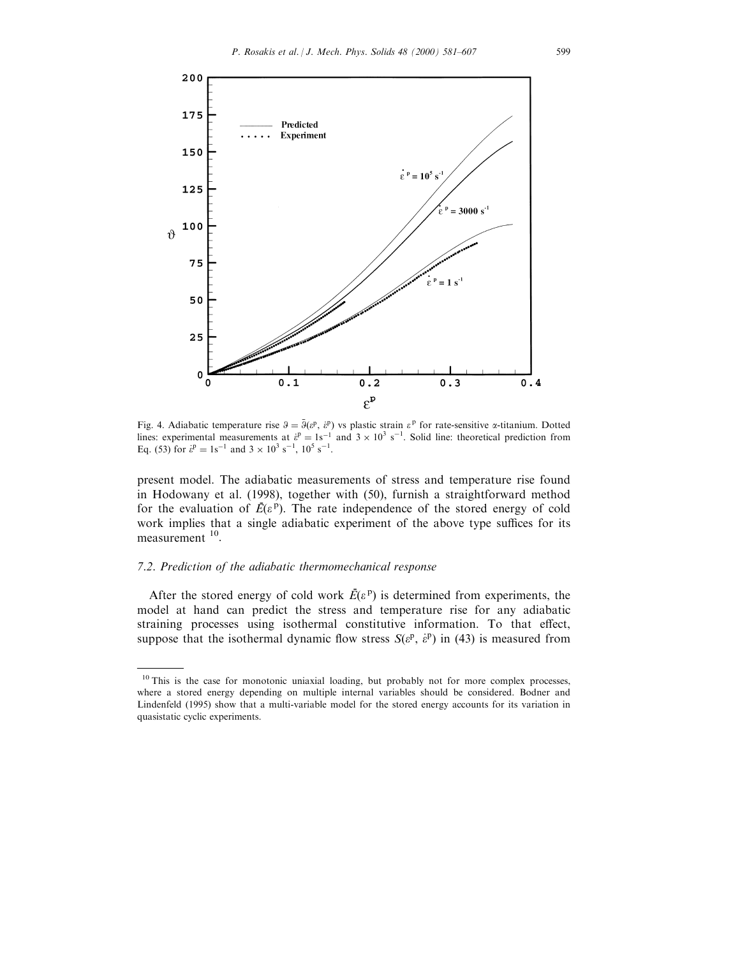

Fig. 4. Adiabatic temperature rise  $\theta = \overline{\theta}(e^p, e^p)$  vs plastic strain  $e^p$  for rate-sensitive  $\alpha$ -titanium. Dotted lines: experimental measurements at  $\dot{\epsilon}^p = 1s^{-1}$  and  $3 \times 10^3$  s<sup>-1</sup>. Solid line: theoretical prediction from Eq. (53) for  $\dot{\epsilon}^p = 1s^{-1}$  and  $3 \times 10^3$  s<sup>-1</sup>,  $10^5$  s<sup>-1</sup>.

present model. The adiabatic measurements of stress and temperature rise found in Hodowany et al. (1998), together with (50), furnish a straightforward method for the evaluation of  $\vec{E}(\varepsilon^p)$ . The rate independence of the stored energy of cold work implies that a single adiabatic experiment of the above type suffices for its measurement <sup>10</sup>.

## 7.2. Prediction of the adiabatic thermomechanical response

After the stored energy of cold work  $\vec{E}(\varepsilon^{\text{p}})$  is determined from experiments, the model at hand can predict the stress and temperature rise for any adiabatic straining processes using isothermal constitutive information. To that effect, suppose that the isothermal dynamic flow stress  $S(e^p, e^p)$  in (43) is measured from

<sup>&</sup>lt;sup>10</sup> This is the case for monotonic uniaxial loading, but probably not for more complex processes, where a stored energy depending on multiple internal variables should be considered. Bodner and Lindenfeld (1995) show that a multi-variable model for the stored energy accounts for its variation in quasistatic cyclic experiments.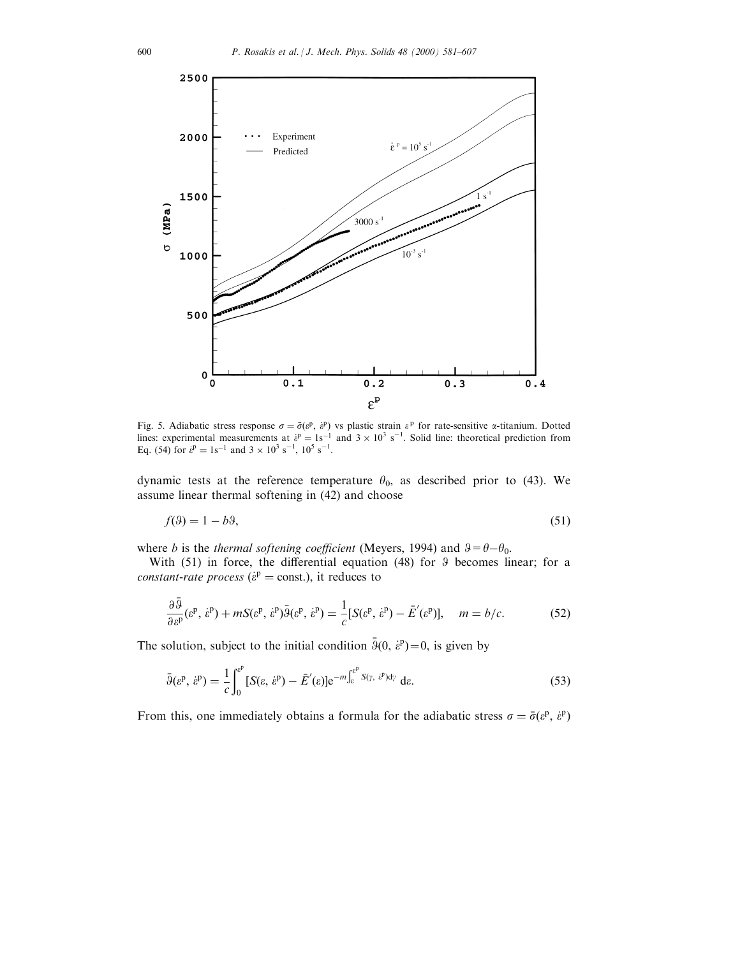

Fig. 5. Adiabatic stress response  $\sigma = \bar{\sigma}(\varepsilon^p, \varepsilon^p)$  vs plastic strain  $\varepsilon^p$  for rate-sensitive  $\alpha$ -titanium. Dotted lines: experimental measurements at  $\dot{\epsilon}^p = 1s^{-1}$  and  $3 \times 10^3$  s<sup>-1</sup>. Solid line: theoretical prediction from Eq. (54) for  $\dot{\epsilon}^p = 1s^{-1}$  and  $3 \times 10^3$  s<sup>-1</sup>,  $10^5$  s<sup>-1</sup>.

dynamic tests at the reference temperature  $\theta_0$ , as described prior to (43). We assume linear thermal softening in (42) and choose

$$
f(\theta) = 1 - b\theta,\tag{51}
$$

where b is the thermal softening coefficient (Meyers, 1994) and  $\theta = \theta - \theta_0$ .

With  $(51)$  in force, the differential equation  $(48)$  for  $9$  becomes linear; for a *constant-rate process* ( $\hat{\epsilon}^{\text{p}}$  = const.), it reduces to

$$
\frac{\partial \bar{\vartheta}}{\partial \varepsilon^p}(\varepsilon^p, \dot{\varepsilon}^p) + mS(\varepsilon^p, \dot{\varepsilon}^p)\bar{\vartheta}(\varepsilon^p, \dot{\varepsilon}^p) = \frac{1}{c}[S(\varepsilon^p, \dot{\varepsilon}^p) - \bar{E}'(\varepsilon^p)], \quad m = b/c.
$$
 (52)

The solution, subject to the initial condition  $\bar{3}(0, \dot{\varepsilon}^{\mathrm{p}}) = 0$ , is given by

$$
\bar{\vartheta}(\varepsilon^{\mathbf{p}},\,\dot{\varepsilon}^{\mathbf{p}}) = \frac{1}{c} \int_0^{\varepsilon^{\mathbf{p}}} [S(\varepsilon,\,\dot{\varepsilon}^{\mathbf{p}}) - \bar{E}'(\varepsilon)] e^{-m \int_{\varepsilon}^{\varepsilon^{\mathbf{p}}} S(\gamma,\,\dot{\varepsilon}^{\mathbf{p}}) \mathrm{d}\gamma} \mathrm{d}\varepsilon. \tag{53}
$$

From this, one immediately obtains a formula for the adiabatic stress  $\sigma = \bar{\sigma}(\varepsilon^p, \varepsilon^p)$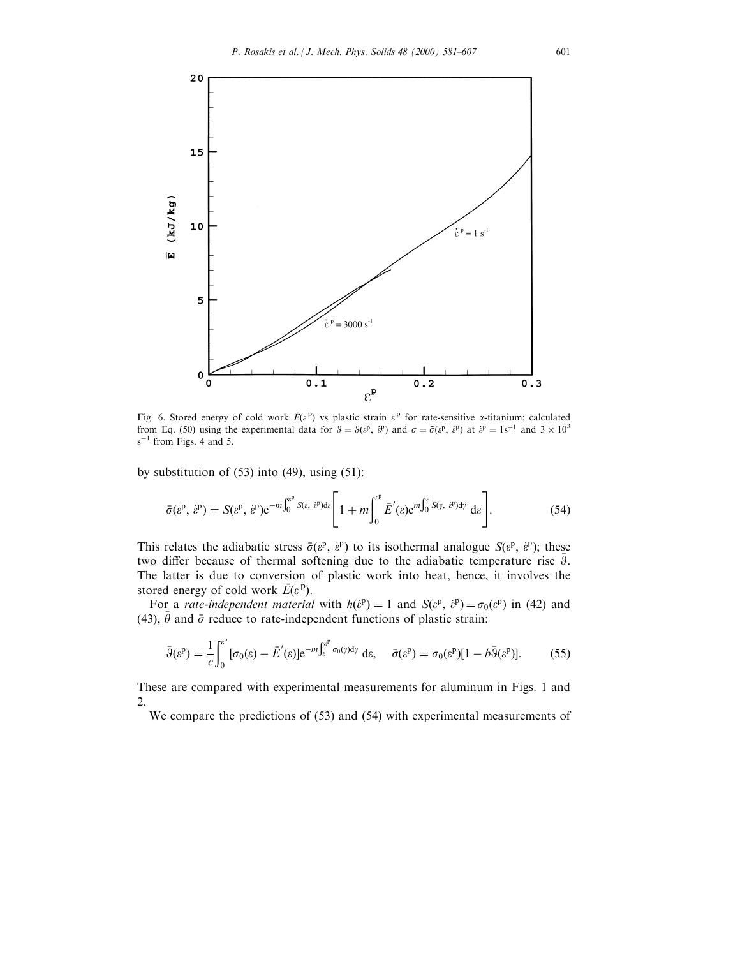

Fig. 6. Stored energy of cold work  $\bar{E}(\varepsilon^p)$  vs plastic strain  $\varepsilon^p$  for rate-sensitive *a*-titanium; calculated from Eq. (50) using the experimental data for  $\theta = \bar{\theta}(\varepsilon^p, \varepsilon^p)$  and  $\sigma = \bar{\sigma}(\varepsilon^p, \varepsilon^p)$  at  $\varepsilon^p = 1$ s<sup>-1</sup> and  $3 \times 10^3$  $s^{-1}$  from Figs. 4 and 5.

by substitution of  $(53)$  into  $(49)$ , using  $(51)$ :

$$
\bar{\sigma}(\varepsilon^{\mathbf{p}},\,\dot{\varepsilon}^{\mathbf{p}}) = S(\varepsilon^{\mathbf{p}},\,\dot{\varepsilon}^{\mathbf{p}})\mathrm{e}^{-m\int_0^{\varepsilon^{\mathbf{p}}} S(\varepsilon,\,\dot{\varepsilon}^{\mathbf{p}})\mathrm{d}\varepsilon} \Bigg[1+m\int_0^{\varepsilon^{\mathbf{p}}} \bar{E}'(\varepsilon)\mathrm{e}^{m\int_0^{\varepsilon} S(\gamma,\,\dot{\varepsilon}^{\mathbf{p}})\mathrm{d}\gamma} \mathrm{d}\varepsilon\Bigg].\tag{54}
$$

This relates the adiabatic stress  $\bar{\sigma}(\varepsilon^p, \varepsilon^p)$  to its isothermal analogue  $S(\varepsilon^p, \varepsilon^p)$ ; these two differ because of thermal softening due to the adiabatic temperature rise  $\bar{9}$ . The latter is due to conversion of plastic work into heat, hence, it involves the stored energy of cold work  $\vec{E}(\varepsilon^p)$ .

For a *rate-independent material* with  $h(\hat{\epsilon}^p) = 1$  and  $S(\epsilon^p, \hat{\epsilon}^p) = \sigma_0(\epsilon^p)$  in (42) and (43),  $\bar{\theta}$  and  $\bar{\sigma}$  reduce to rate-independent functions of plastic strain:

$$
\bar{\vartheta}(\varepsilon^{\mathbf{p}}) = \frac{1}{c} \int_0^{\varepsilon^{\mathbf{p}}} [\sigma_0(\varepsilon) - \bar{E}'(\varepsilon)] e^{-m \int_{\varepsilon}^{\varepsilon^{\mathbf{p}}} \sigma_0(\gamma) d\gamma} d\varepsilon, \quad \bar{\sigma}(\varepsilon^{\mathbf{p}}) = \sigma_0(\varepsilon^{\mathbf{p}}) [1 - b \bar{\vartheta}(\varepsilon^{\mathbf{p}})]. \tag{55}
$$

These are compared with experimental measurements for aluminum in Figs. 1 and 2.

We compare the predictions of (53) and (54) with experimental measurements of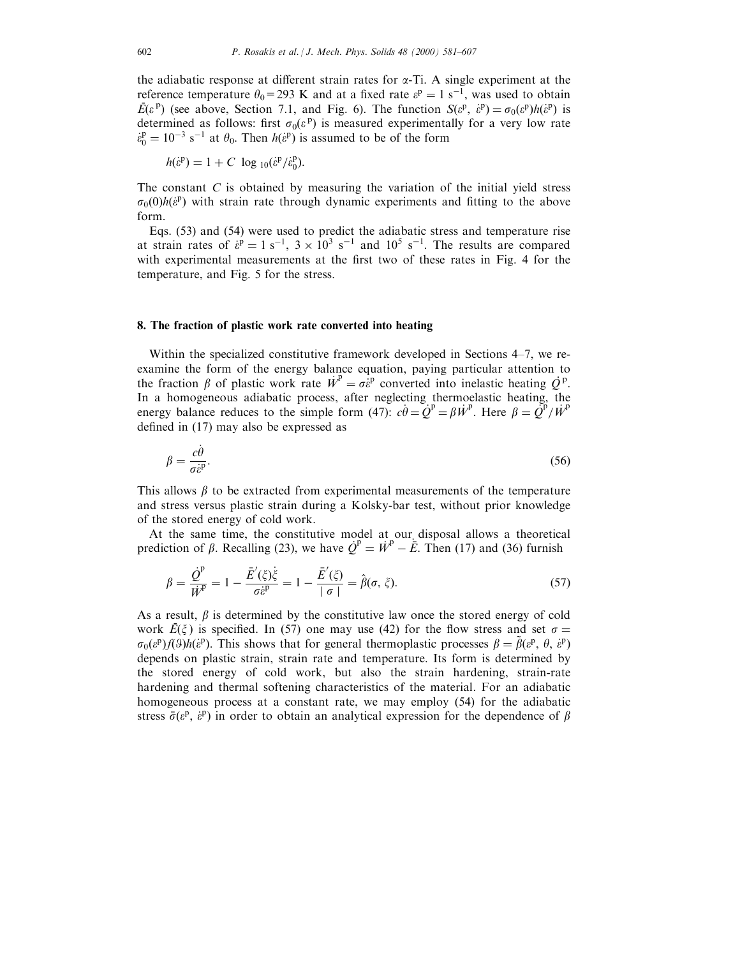the adiabatic response at different strain rates for  $\alpha$ -Ti. A single experiment at the reference temperature  $\theta_0$ =293 K and at a fixed rate  $\varepsilon^p = 1$  s<sup>-1</sup>, was used to obtain  $\vec{E}(\varepsilon^{\text{p}})$  (see above, Section 7.1, and Fig. 6). The function  $S(\varepsilon^{\text{p}}, \varepsilon^{\text{p}}) = \sigma_0(\varepsilon^{\text{p}})h(\varepsilon^{\text{p}})$  is determined as follows: first  $\sigma_0(\varepsilon^p)$  is measured experimentally for a very low rate  $\dot{\epsilon}_0^p = 10^{-3}$  s<sup>-1</sup> at  $\theta_0$ . Then  $h(\dot{\epsilon}^p)$  is assumed to be of the form

$$
h(\dot{\varepsilon}^{\mathbf{p}}) = 1 + C \log_{10}(\dot{\varepsilon}^{\mathbf{p}}/\dot{\varepsilon}_0^{\mathbf{p}}).
$$

The constant C is obtained by measuring the variation of the initial yield stress  $\sigma_0(0)h(\hat{\varepsilon}^p)$  with strain rate through dynamic experiments and fitting to the above form.

Eqs. (53) and (54) were used to predict the adiabatic stress and temperature rise at strain rates of  $\dot{\epsilon}^{\text{p}} = 1 \text{ s}^{-1}$ ,  $3 \times 10^3 \text{ s}^{-1}$  and  $10^5 \text{ s}^{-1}$ . The results are compared with experimental measurements at the first two of these rates in Fig. 4 for the temperature, and Fig. 5 for the stress.

## 8. The fraction of plastic work rate converted into heating

Within the specialized constitutive framework developed in Sections  $4-7$ , we reexamine the form of the energy balance equation, paying particular attention to Examine the form of the energy balance equation, paying particular attention to<br>the fraction  $\beta$  of plastic work rate  $\vec{W}^P = \sigma \hat{\epsilon}^P$  converted into inelastic heating  $\vec{Q}^P$ . In a homogeneous adiabatic process, after neglecting thermoelastic heating, the energy balance reduces to the simple form (47):  $c\dot{\theta} = Q^P = \beta \dot{W}^P$ . Here  $\beta = Q^P / \dot{W}^P$ defined in  $(17)$  may also be expressed as

$$
\beta = \frac{c\dot{\theta}}{\sigma \dot{\epsilon}^{\text{p}}}.\tag{56}
$$

This allows  $\beta$  to be extracted from experimental measurements of the temperature and stress versus plastic strain during a Kolsky-bar test, without prior knowledge of the stored energy of cold work.

At the same time, the constitutive model at our disposal allows a theoretical prediction of  $\beta$ . Recalling (23), we have  $\dot{Q}^p = \dot{W}^p - \dot{E}$ . Then (17) and (36) furnish

$$
\beta = \frac{\dot{Q}^{\mathrm{p}}}{\dot{W}^{\mathrm{p}}} = 1 - \frac{\bar{E}'(\xi)\dot{\xi}}{\sigma \dot{\varepsilon}^{\mathrm{p}}} = 1 - \frac{\bar{E}'(\xi)}{|\sigma|} = \hat{\beta}(\sigma, \xi). \tag{57}
$$

As a result,  $\beta$  is determined by the constitutive law once the stored energy of cold work  $\vec{E}(\xi)$  is specified. In (57) one may use (42) for the flow stress and set  $\sigma =$  $\sigma_0(\varepsilon^p) f(\varepsilon^p) h(\varepsilon^p)$ . This shows that for general thermoplastic processes  $\beta = \tilde{\beta}(\varepsilon^p, \theta, \varepsilon^p)$ depends on plastic strain, strain rate and temperature. Its form is determined by the stored energy of cold work, but also the strain hardening, strain-rate hardening and thermal softening characteristics of the material. For an adiabatic homogeneous process at a constant rate, we may employ (54) for the adiabatic stress  $\bar{\sigma}(\varepsilon^p, \varepsilon^p)$  in order to obtain an analytical expression for the dependence of  $\beta$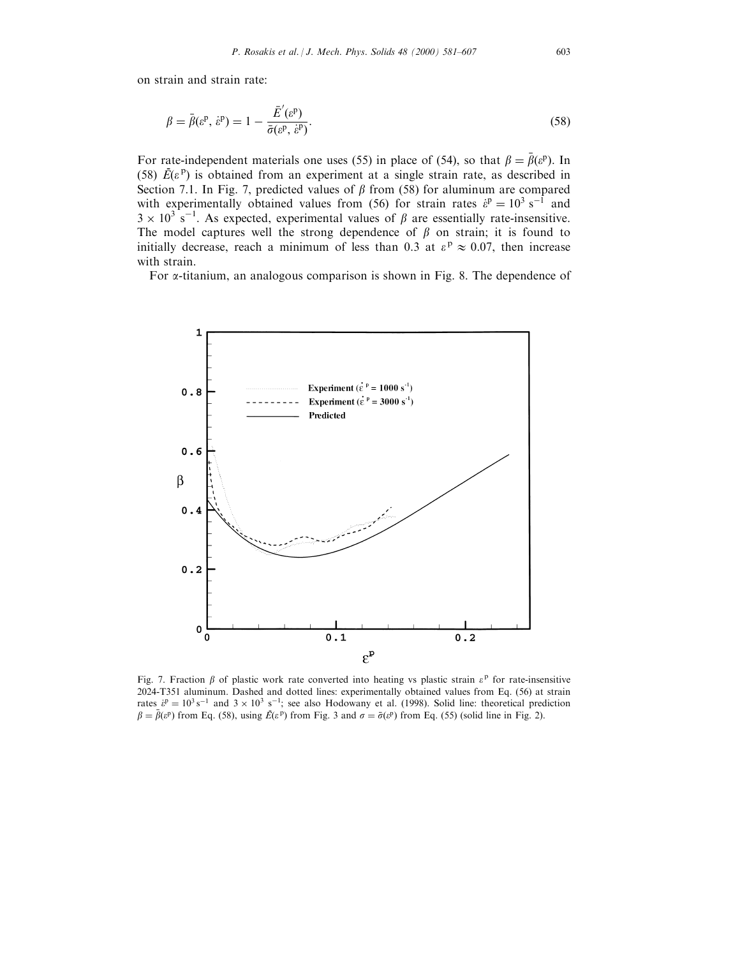on strain and strain rate:

$$
\beta = \bar{\beta}(\varepsilon^{\mathsf{p}}, \dot{\varepsilon}^{\mathsf{p}}) = 1 - \frac{\bar{E}'(\varepsilon^{\mathsf{p}})}{\bar{\sigma}(\varepsilon^{\mathsf{p}}, \dot{\varepsilon}^{\mathsf{p}})}.
$$
\n(58)

For rate-independent materials one uses (55) in place of (54), so that  $\beta = \bar{\beta}(\varepsilon^p)$ . In (58)  $\vec{E}(\varepsilon^{\text{p}})$  is obtained from an experiment at a single strain rate, as described in Section 7.1. In Fig. 7, predicted values of  $\beta$  from (58) for aluminum are compared with experimentally obtained values from (56) for strain rates  $\hat{\epsilon}^{\text{p}} = 10^3 \text{ s}^{-1}$  and  $3 \times 10^3$  s<sup>-1</sup>. As expected, experimental values of  $\beta$  are essentially rate-insensitive. The model captures well the strong dependence of  $\beta$  on strain; it is found to initially decrease, reach a minimum of less than 0.3 at  $\varepsilon^p \approx 0.07$ , then increase with strain.

For a-titanium, an analogous comparison is shown in Fig. 8. The dependence of



Fig. 7. Fraction  $\beta$  of plastic work rate converted into heating vs plastic strain  $\varepsilon^p$  for rate-insensitive 2024-T351 aluminum. Dashed and dotted lines: experimentally obtained values from Eq. (56) at strain rates  $\dot{\epsilon}^p = 10^3 \text{ s}^{-1}$  and  $3 \times 10^3 \text{ s}^{-1}$ ; see also Hodowany et al. (1998). Solid line: theoretical prediction  $\beta = \bar{\beta}(e^p)$  from Eq. (58), using  $\bar{E}(e^p)$  from Fig. 3 and  $\sigma = \bar{\sigma}(e^p)$  from Eq. (55) (solid line in Fig. 2).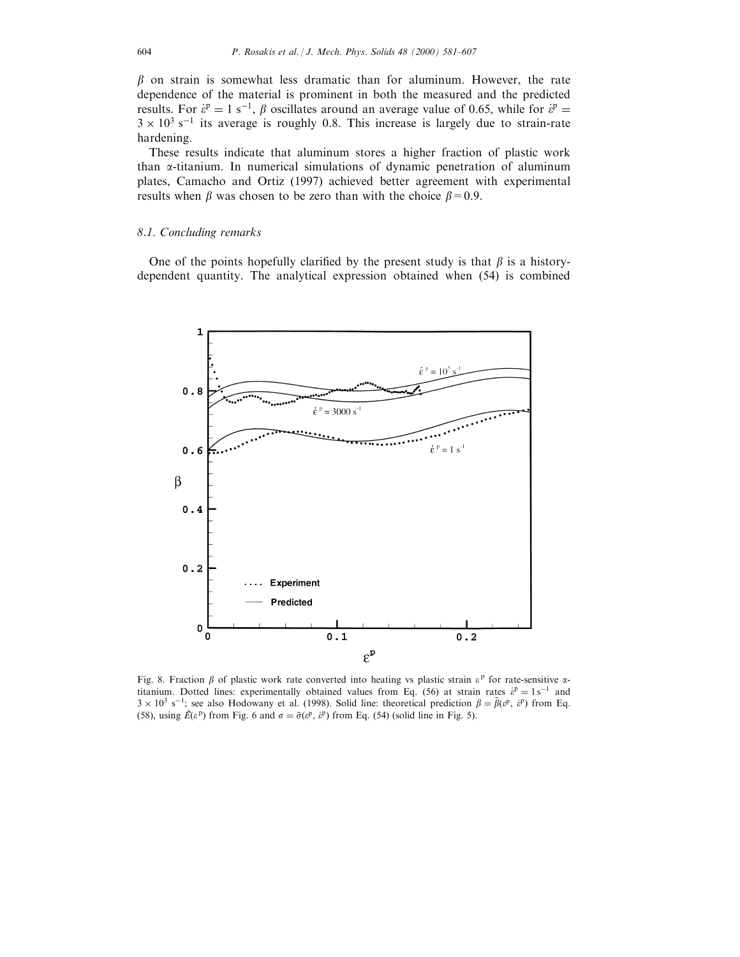$\beta$  on strain is somewhat less dramatic than for aluminum. However, the rate dependence of the material is prominent in both the measured and the predicted results. For  $\varepsilon^p = 1$  s<sup>-1</sup>,  $\beta$  oscillates around an average value of 0.65, while for  $\varepsilon^p =$  $3 \times 10^{3}$  s<sup>-1</sup> its average is roughly 0.8. This increase is largely due to strain-rate hardening.

These results indicate that aluminum stores a higher fraction of plastic work than  $\alpha$ -titanium. In numerical simulations of dynamic penetration of aluminum plates, Camacho and Ortiz (1997) achieved better agreement with experimental results when  $\beta$  was chosen to be zero than with the choice  $\beta=0.9$ .

#### 8.1. Concluding remarks

One of the points hopefully clarified by the present study is that  $\beta$  is a historydependent quantity. The analytical expression obtained when (54) is combined



Fig. 8. Fraction  $\beta$  of plastic work rate converted into heating vs plastic strain  $\varepsilon^{\text{p}}$  for rate-sensitive  $\alpha$ titanium. Dotted lines: experimentally obtained values from Eq. (56) at strain rates  $\dot{\epsilon}^{\text{p}} = 1 \text{ s}^{-1}$  and  $3 \times 10^3$  s<sup>-1</sup>; see also Hodowany et al. (1998). Solid line: theoretical prediction  $\beta = \bar{\beta}(\varepsilon^p, \varepsilon^p)$  from Eq. (58), using  $\vec{E}(\varepsilon^p)$  from Fig. 6 and  $\sigma = \vec{\sigma}(\varepsilon^p, \varepsilon^p)$  from Eq. (54) (solid line in Fig. 5).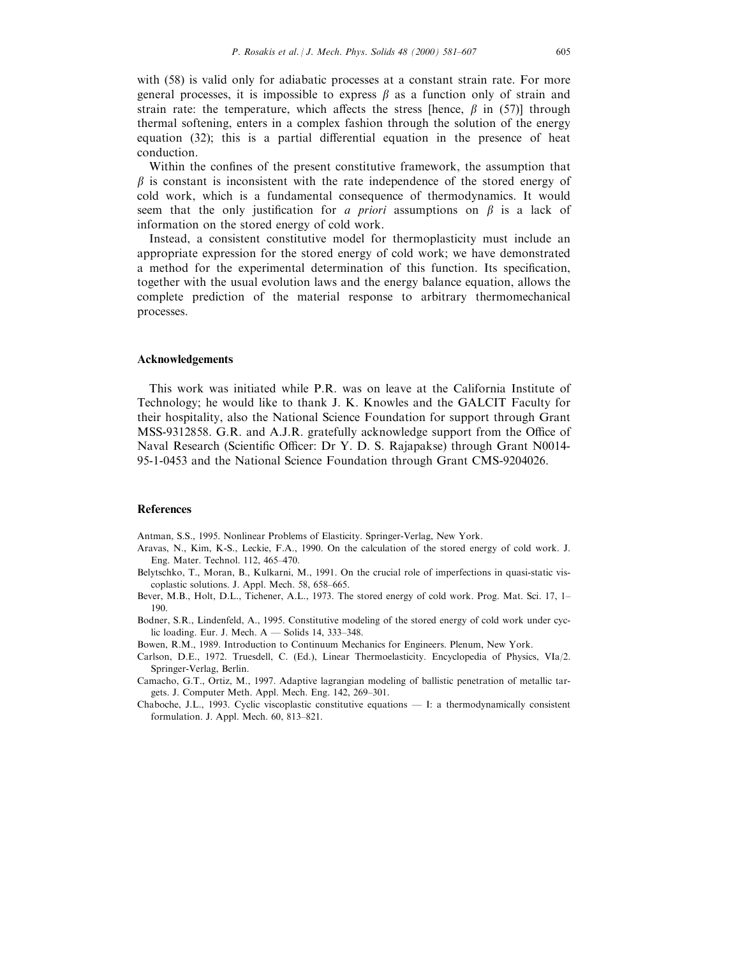with (58) is valid only for adiabatic processes at a constant strain rate. For more general processes, it is impossible to express  $\beta$  as a function only of strain and strain rate: the temperature, which affects the stress [hence,  $\beta$  in (57)] through thermal softening, enters in a complex fashion through the solution of the energy equation  $(32)$ ; this is a partial differential equation in the presence of heat conduction.

Within the confines of the present constitutive framework, the assumption that  $\beta$  is constant is inconsistent with the rate independence of the stored energy of cold work, which is a fundamental consequence of thermodynamics. It would seem that the only justification for a *priori* assumptions on  $\beta$  is a lack of information on the stored energy of cold work.

Instead, a consistent constitutive model for thermoplasticity must include an appropriate expression for the stored energy of cold work; we have demonstrated a method for the experimental determination of this function. Its specification, together with the usual evolution laws and the energy balance equation, allows the complete prediction of the material response to arbitrary thermomechanical processes.

#### Acknowledgements

This work was initiated while P.R. was on leave at the California Institute of Technology; he would like to thank J. K. Knowles and the GALCIT Faculty for their hospitality, also the National Science Foundation for support through Grant MSS-9312858. G.R. and A.J.R. gratefully acknowledge support from the Office of Naval Research (Scientific Officer: Dr Y. D. S. Rajapakse) through Grant N0014-95-1-0453 and the National Science Foundation through Grant CMS-9204026.

#### References

Antman, S.S., 1995. Nonlinear Problems of Elasticity. Springer-Verlag, New York.

- Aravas, N., Kim, K-S., Leckie, F.A., 1990. On the calculation of the stored energy of cold work. J. Eng. Mater. Technol. 112, 465-470.
- Belytschko, T., Moran, B., Kulkarni, M., 1991. On the crucial role of imperfections in quasi-static viscoplastic solutions. J. Appl. Mech. 58, 658-665.
- Bever, M.B., Holt, D.L., Tichener, A.L., 1973. The stored energy of cold work. Prog. Mat. Sci. 17, 1-190.
- Bodner, S.R., Lindenfeld, A., 1995. Constitutive modeling of the stored energy of cold work under cyclic loading. Eur. J. Mech.  $A -$  Solids 14, 333-348.
- Bowen, R.M., 1989. Introduction to Continuum Mechanics for Engineers. Plenum, New York.
- Carlson, D.E., 1972. Truesdell, C. (Ed.), Linear Thermoelasticity. Encyclopedia of Physics, VIa/2. Springer-Verlag, Berlin.
- Camacho, G.T., Ortiz, M., 1997. Adaptive lagrangian modeling of ballistic penetration of metallic targets. J. Computer Meth. Appl. Mech. Eng. 142, 269-301.
- Chaboche, J.L., 1993. Cyclic viscoplastic constitutive equations I: a thermodynamically consistent formulation. J. Appl. Mech. 60, 813-821.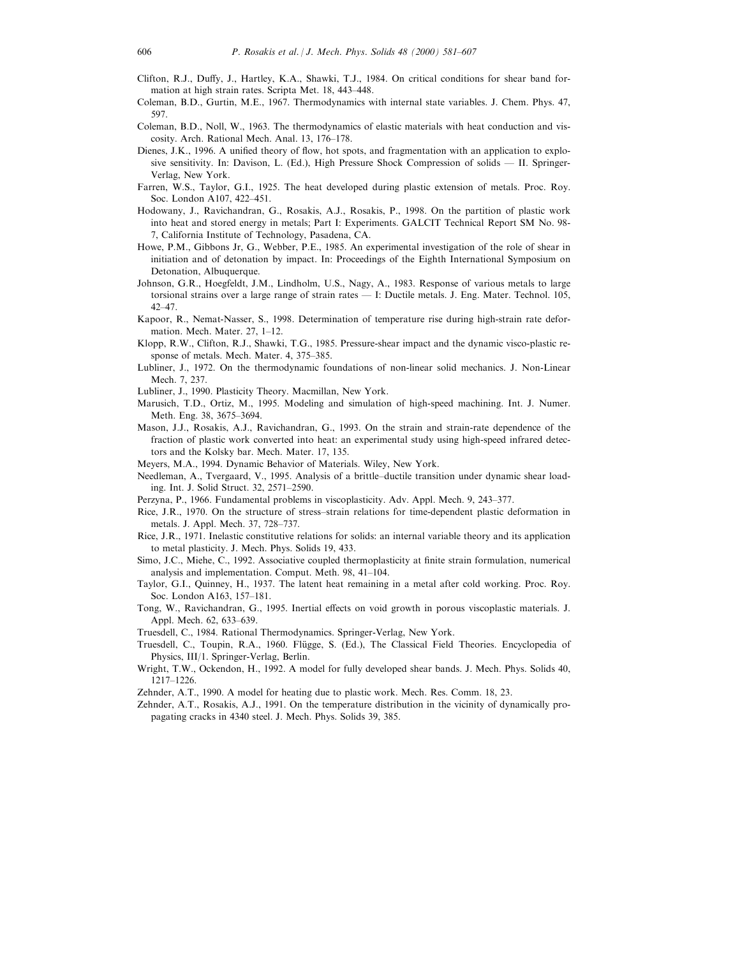- Clifton, R.J., Duffy, J., Hartley, K.A., Shawki, T.J., 1984. On critical conditions for shear band formation at high strain rates. Scripta Met. 18, 443-448.
- Coleman, B.D., Gurtin, M.E., 1967. Thermodynamics with internal state variables. J. Chem. Phys. 47, 597.
- Coleman, B.D., Noll, W., 1963. The thermodynamics of elastic materials with heat conduction and viscosity. Arch. Rational Mech. Anal. 13, 176-178.
- Dienes, J.K., 1996. A unified theory of flow, hot spots, and fragmentation with an application to explosive sensitivity. In: Davison, L. (Ed.), High Pressure Shock Compression of solids  $\overline{\phantom{a}}$  II. Springer-Verlag, New York.
- Farren, W.S., Taylor, G.I., 1925. The heat developed during plastic extension of metals. Proc. Roy. Soc. London A107, 422-451.
- Hodowany, J., Ravichandran, G., Rosakis, A.J., Rosakis, P., 1998. On the partition of plastic work into heat and stored energy in metals; Part I: Experiments. GALCIT Technical Report SM No. 98- 7, California Institute of Technology, Pasadena, CA.
- Howe, P.M., Gibbons Jr, G., Webber, P.E., 1985. An experimental investigation of the role of shear in initiation and of detonation by impact. In: Proceedings of the Eighth International Symposium on Detonation, Albuquerque.
- Johnson, G.R., Hoegfeldt, J.M., Lindholm, U.S., Nagy, A., 1983. Response of various metals to large torsional strains over a large range of strain rates — I: Ductile metals. J. Eng. Mater. Technol. 105,  $42 - 47.$
- Kapoor, R., Nemat-Nasser, S., 1998. Determination of temperature rise during high-strain rate deformation. Mech. Mater. 27, 1-12.
- Klopp, R.W., Clifton, R.J., Shawki, T.G., 1985. Pressure-shear impact and the dynamic visco-plastic response of metals. Mech. Mater. 4, 375-385.
- Lubliner, J., 1972. On the thermodynamic foundations of non-linear solid mechanics. J. Non-Linear Mech. 7, 237.
- Lubliner, J., 1990. Plasticity Theory. Macmillan, New York.
- Marusich, T.D., Ortiz, M., 1995. Modeling and simulation of high-speed machining. Int. J. Numer. Meth. Eng. 38, 3675-3694.
- Mason, J.J., Rosakis, A.J., Ravichandran, G., 1993. On the strain and strain-rate dependence of the fraction of plastic work converted into heat: an experimental study using high-speed infrared detectors and the Kolsky bar. Mech. Mater. 17, 135.
- Meyers, M.A., 1994. Dynamic Behavior of Materials. Wiley, New York.
- Needleman, A., Tvergaard, V., 1995. Analysis of a brittle-ductile transition under dynamic shear loading. Int. J. Solid Struct. 32, 2571-2590.
- Perzyna, P., 1966. Fundamental problems in viscoplasticity. Adv. Appl. Mech. 9, 243-377.
- Rice, J.R., 1970. On the structure of stress-strain relations for time-dependent plastic deformation in metals. J. Appl. Mech. 37, 728-737.
- Rice, J.R., 1971. Inelastic constitutive relations for solids: an internal variable theory and its application to metal plasticity. J. Mech. Phys. Solids 19, 433.
- Simo, J.C., Miehe, C., 1992. Associative coupled thermoplasticity at finite strain formulation, numerical analysis and implementation. Comput. Meth. 98, 41-104.
- Taylor, G.I., Quinney, H., 1937. The latent heat remaining in a metal after cold working. Proc. Roy. Soc. London A163, 157-181.
- Tong, W., Ravichandran, G., 1995. Inertial effects on void growth in porous viscoplastic materials. J. Appl. Mech. 62, 633–639.
- Truesdell, C., 1984. Rational Thermodynamics. Springer-Verlag, New York.
- Truesdell, C., Toupin, R.A., 1960. Flügge, S. (Ed.), The Classical Field Theories. Encyclopedia of Physics, III/1. Springer-Verlag, Berlin.
- Wright, T.W., Ockendon, H., 1992. A model for fully developed shear bands. J. Mech. Phys. Solids 40, 1217±1226.
- Zehnder, A.T., 1990. A model for heating due to plastic work. Mech. Res. Comm. 18, 23.
- Zehnder, A.T., Rosakis, A.J., 1991. On the temperature distribution in the vicinity of dynamically propagating cracks in 4340 steel. J. Mech. Phys. Solids 39, 385.